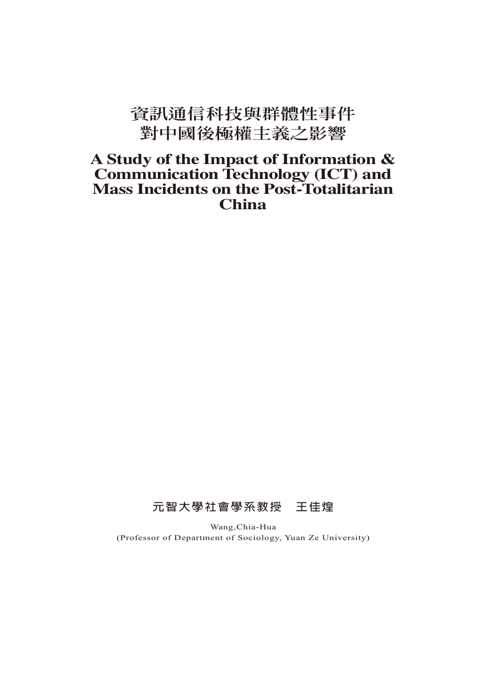# **資訊通信科技與群體性事件 對中國後極權主義之影響**

## **A Study of the Impact of Information & Communication Technology (ICT) and Mass Incidents on the Post-Totalitarian China**

## **元智大學社會學系教授 王佳煌**

Wang,Chia-Hua (Professor of Department of Sociology, Yuan Ze University)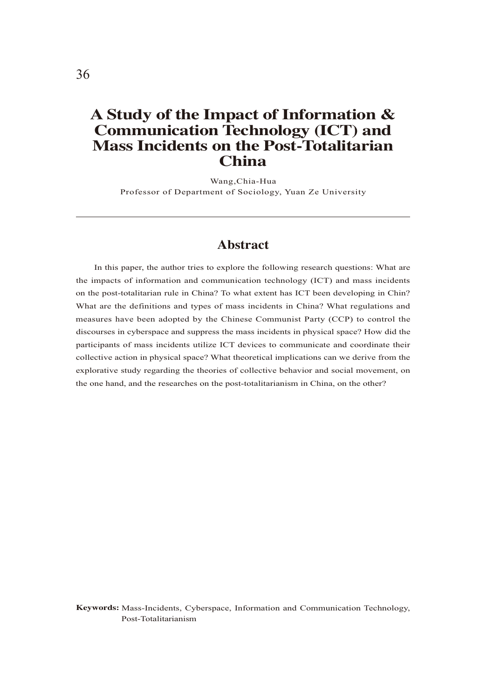## **A Study of the Impact of Information & Communication Technology (ICT) and Mass Incidents on the Post-Totalitarian China**

Wang,Chia-Hua Professor of Department of Sociology, Yuan Ze University

#### **Abstract**

In this paper, the author tries to explore the following research questions: What are the impacts of information and communication technology (ICT) and mass incidents on the post-totalitarian rule in China? To what extent has ICT been developing in Chin? What are the definitions and types of mass incidents in China? What regulations and measures have been adopted by the Chinese Communist Party (CCP) to control the discourses in cyberspace and suppress the mass incidents in physical space? How did the participants of mass incidents utilize ICT devices to communicate and coordinate their collective action in physical space? What theoretical implications can we derive from the explorative study regarding the theories of collective behavior and social movement, on the one hand, and the researches on the post-totalitarianism in China, on the other?

**Keywords:** Mass-Incidents, Cyberspace, Information and Communication Technology, Post-Totalitarianism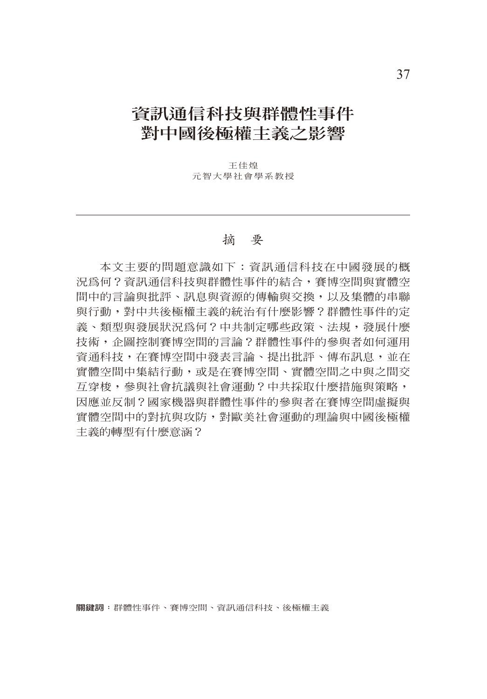# **資訊通信科技與群體性事件 對中國後極權主義之影響**

王佳煌 元智大學社會學系教授

#### 摘 要

本文主要的問題意識如下:資訊通信科技在中國發展的概 況為何?資訊通信科技與群體性事件的結合,賽博空間與實體空 間中的言論與批評、訊息與資源的傳輸與交換,以及集體的串聯 與行動,對中共後極權主義的統治有什麼影響?群體性事件的定 義、類型與發展狀況為何?中共制定哪些政策、法規,發展什麼 技術,企圖控制賽博空間的言論?群體性事件的參與者如何運用 資通科技,在賽博空間中發表言論、提出批評、傳布訊息,並在 實體空間中集結行動,或是在賽博空間、實體空間之中與之間交 互穿梭,參與社會抗議與社會運動?中共採取什麼措施與策略, 因應並反制?國家機器與群體性事件的參與者在賽博空間虛擬與 實體空間中的對抗與攻防,對歐美社會運動的理論與中國後極權 主義的轉型有什麼意涵?

**關鍵詞:**群體性事件、賽博空間、資訊通信科技、後極權主義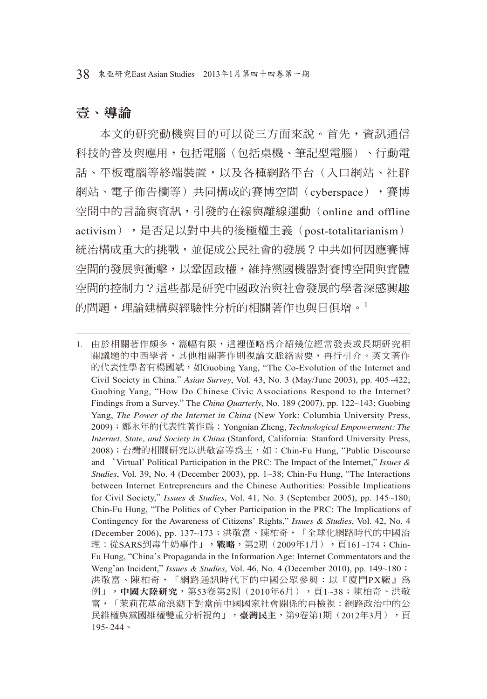## 壹、導論

本文的研究動機與目的可以從三方面來說。首先,資訊通信 科技的普及與應用,包括電腦(包括桌機、筆記型電腦)、行動電 話、平板電腦等終端裝置,以及各種網路平台(入口網站、社群 網站、電子佈告欄等)共同構成的賽博空間(cyberspace),賽博 空間中的言論與資訊,引發的在線與離線運動(online and offline activism),是否足以對中共的後極權主義(post-totalitarianism) 統治構成重大的挑戰,並促成公民社會的發展?中共如何因應賽博 空間的發展與衝擊,以鞏固政權,維持黨國機器對賽博空間與實體 空間的控制力?這些都是研究中國政治與社會發展的學者深感興趣 的問題, 理論建構與經驗性分析的相關著作也與日但增。1

<sup>1.</sup> 由於相關著作頗多,篇幅有限,這裡僅略為介紹幾位經常發表或長期研究相 關議題的中西學者,其他相關著作則視論文脈絡需要,再行引介。英文著作 的代表性學者有楊國斌, 如Guobing Yang, "The Co-Evolution of the Internet and Civil Society in China." *Asian Survey*, Vol. 43, No. 3 (May/June 2003), pp. 405~422; Guobing Yang, "How Do Chinese Civic Associations Respond to the Internet? Findings from a Survey." The *China Quarterly*, No. 189 (2007), pp. 122~143; Guobing Yang, *The Power of the Internet in China* (New York: Columbia University Press, 2009);鄭永年的代表性著作為:Yongnian Zheng, *Technological Empowerment: The Internet, State, and Society in China* (Stanford, California: Stanford University Press, 2008);台灣的相關研究以洪敬富等為主,如:Chin-Fu Hung, "Public Discourse and 'Virtual' Political Participation in the PRC: The Impact of the Internet," *Issues & Studies*, Vol. 39, No. 4 (December 2003), pp. 1~38; Chin-Fu Hung, "The Interactions between Internet Entrepreneurs and the Chinese Authorities: Possible Implications for Civil Society," *Issues & Studies*, Vol. 41, No. 3 (September 2005), pp. 145~180; Chin-Fu Hung, "The Politics of Cyber Participation in the PRC: The Implications of Contingency for the Awareness of Citizens' Rights," *Issues & Studies*, Vol. 42, No. 4 (December 2006), pp. 137~173;洪敬富、陳柏奇,「全球化網路時代的中國治 理:從SARS到毒牛奶事件」,**戰略**,第2期(2009年1月),頁161~174;Chin-Fu Hung, "China's Propaganda in the Information Age: Internet Commentators and the Weng'an Incident," *Issues & Studies*, Vol. 46, No. 4 (December 2010), pp. 149~180; 洪敬富、陳柏奇,「網路通訊時代下的中國公眾參與:以『廈門PX廠』為 例」,中國大陸研究,第53卷第2期(2010年6月),頁1~38;陳柏奇、洪敬 富,「茉莉花革命浪潮下對當前中國國家社會關係的再檢視:網路政治中的公 民維權與黨國維權雙重分析視角」,臺灣民主,第9卷第1期(2012年3月),頁 195~244。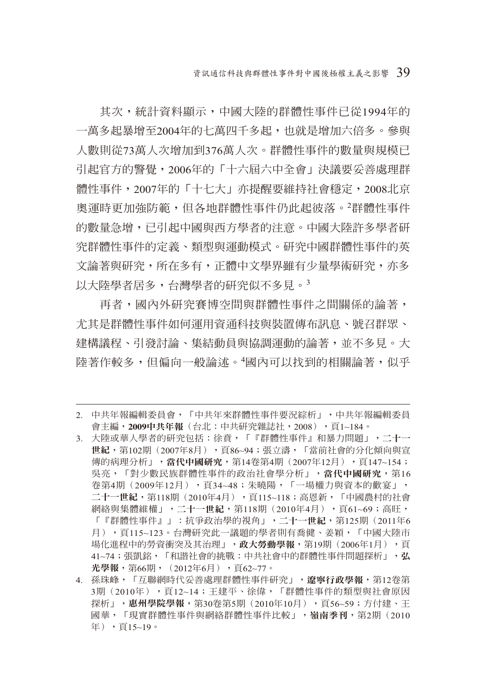其次,統計資料顯示,中國大陸的群體性事件已從1994年的 一萬多起暴增至2004年的七萬四千多起,也就是增加六倍多。參與 人數則從73萬人次增加到376萬人次。群體性事件的數量與規模已 引起官方的警覺,2006年的「十六屆六中全會」決議要妥善處理群 體性事件,2007年的「十七大」亦提醒要維持社會穩定,2008北京 奧運時更加強防範,但各地群體性事件仍此起彼落。<sup>2</sup>群體性事件 的數量急增,已引起中國與西方學者的注意。中國大陸許多學者研 究群體性事件的定義、類型與運動模式。研究中國群體性事件的英 文論著與研究,所在多有,正體中文學界雖有少量學術研究,亦多 以大陸學者居多,台灣學者的研究似不多見。<sup>3</sup>

再者,國內外研究賽博空間與群體性事件之間關係的論著, 尤其是群體性事件如何運用資通科技與裝置傳布訊息、號召群眾、 建構議程、引發討論、集結動員與協調運動的論著,並不多見。大 陸著作較多,但偏向一般論述。'國內可以找到的相關論著,似乎

- 2. 中共年報編輯委員會,「中共年來群體性事件要況綜析」,中共年報編輯委員 會主編, 2009中共年報(台北:中共研究雜誌社, 2008), 頁1~184。
- 3. 大陸或華人學者的研究包括:徐賁,「『群體性事件』和暴力問題」,二十一 世紀,第102期(2007年8月),頁86~94;張立濤,「當前社會的分化傾向與宣 傳的病理分析」,當代中國研究,第14卷第4期(2007年12月),頁147~154; 吳亮,「對少數民族群體性事件的政治社會學分析」,當代中國研究,第16 卷第4期(2009年12月),頁34~48;朱曉陽,「一場權力與資本的歡宴」, 二十一世紀,第118期(2010年4月),頁115~118;高恩新,「中國農村的社會 網絡與集體維權」,二十一世紀,第118期(2010年4月),頁61~69;高旺, 「『群體性事件』」:抗爭政治學的視角」,二十一世紀,第125期(2011年6 月),頁115~123。台灣研究此一議題的學者則有喬健、姜穎,「中國大陸市 場化進程中的勞資衝突及其治理」,政大勞動學報,第19期(2006年1月),頁 41~74;張凱銘,「和諧社會的挑戰:中共社會中的群體性事件問題探析」,弘 光學報,第66期, (2012年6月), 百62~77。
- 4. 孫珠峰,「互聯網時代妥善處理群體性事件研究」,遼寧行政學報,第12卷第 3期(2010年),頁12~14;王建平、徐偉,「群體性事件的類型與社會原因 探析」,惠州學院學報,第30卷第5期(2010年10月),頁56~59;方付建、王 國華,「現實群體性事件與網絡群體性事件比較」,嶺南季刊,第2期(2010 年),頁15~19。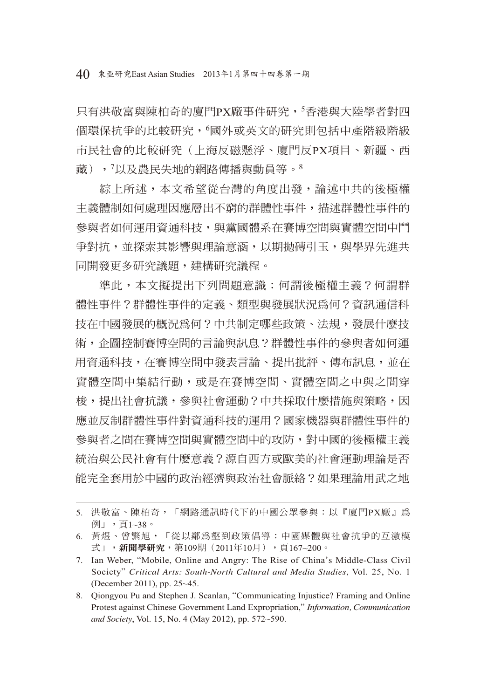只有洪敬富與陳柏奇的廈門PX廠事件研究,<sup>5</sup>香港與大陸學者對四 個環保抗爭的比較研究,<sup>6</sup>國外或英文的研究則包括中產階級階級 市民社會的比較研究(上海反磁懸浮、廈門反PX項目、新疆、西 藏),<sup>7</sup> 以及農民失地的網路傳播與動員等。<sup>8</sup>

綜上所述,本文希望從台灣的角度出發,論述中共的後極權 主義體制如何處理因應層出不窮的群體性事件,描述群體性事件的 參與者如何運用資通科技,與黨國體系在賽博空間與實體空間中鬥 爭對抗,並探索其影響與理論意涵,以期拋磚引玉,與學界先淮共 同開發更多研究議題,建構研究議程。

準此,本文擬提出下列問題意識:何謂後極權主義?何謂群 體性事件?群體性事件的定義、類型與發展狀況為何?資訊通信科 技在中國發展的概況為何?中共制定哪些政策、法規,發展什麼技 術,企圖控制賽博空間的言論與訊息?群體性事件的參與者如何運 用資通科技,在賽博空間中發表言論、提出批評、傳布訊息,並在 實體空間中集結行動,或是在賽博空間、實體空間之中與之間穿 梭,提出社會抗議,參與社會運動?中共採取什麼措施與策略,因 應並反制群體性事件對資通科技的運用?國家機器與群體性事件的 參與者之間在賽博空間與實體空間中的攻防,對中國的後極權主義 統治與公民社會有什麼意義?源自西方或歐美的社會運動理論是否 能完全套用於中國的政治經濟與政治社會脈絡?如果理論用武之地

<sup>5.</sup> 洪敬富、陳柏奇,「網路通訊時代下的中國公眾參與:以『廈門PX廠』為 例」,頁1~38。

<sup>6.</sup> 黃煜、曾繁旭,「從以鄰為壑到政策倡導:中國媒體與社會抗爭的互激模 式」,新聞學研究,第109期(2011年10月),頁167~200。

<sup>7.</sup> Ian Weber, "Mobile, Online and Angry: The Rise of China's Middle-Class Civil Society" *Critical Arts: South-North Cultural and Media Studies,* Vol. 25, No. 1 (December 2011), pp. 25~45.

<sup>8.</sup> Qiongyou Pu and Stephen J. Scanlan, "Communicating Injustice? Framing and Online Protest against Chinese Government Land Expropriation," *Information, Communication and Society*, Vol. 15, No. 4 (May 2012), pp. 572~590.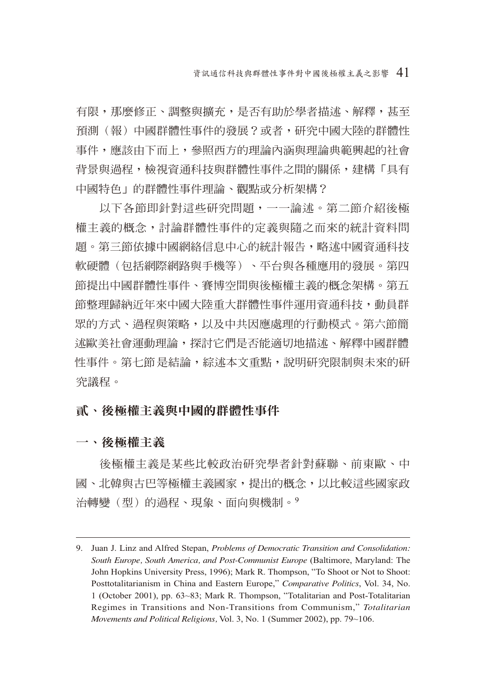有限,那麼修正、調整與攜充,是否有助於學者描述、解釋,甚至 預測(報)中國群體性事件的發展?或者,研究中國大陸的群體性 事件,應該由下而上,參照西方的理論內涵與理論典範興起的社會 背景與過程,檢視資通科技與群體性事件之間的關係,建構「具有 中國特色」的群體性事件理論、觀點或分析架構?

以下各節即針對這些研究問題,一一論述。第二節介紹後極 權主義的概念,討論群體性事件的定義與隨之而來的統計資料問 題。第三節依據中國網絡信息中心的統計報告,略述中國資通科技 軟硬體(包括網際網路與手機等)、平台與各種應用的發展。第四 節提出中國群體性事件、賽博空間與後極權主義的概念架構。第五 節整理歸納近年來中國大陸重大群體性事件運用資通科技,動員群 眾的方式、過程與策略,以及中共因應處理的行動模式。第六節簡 述歐美社會運動理論,探討它們是否能適切地描述、解釋中國群體 性事件。第七節是結論,綜述本文重點,說明研究限制與未來的研 究議程。

## 貳、後極權主義與中國的群體性事件

一、後極權主義

後極權主義是某些比較政治研究學者針對蘇聯、前東歐、中 國、北韓與古巴等極權主義國家,提出的概念,以比較這些國家政 治轉變(型)的渦程、現象、面向與機制。9

<sup>9.</sup> Juan J. Linz and Alfred Stepan, *Problems of Democratic Transition and Consolidation: South Europe, South America, and Post-Communist Europe* (Baltimore, Maryland: The John Hopkins University Press, 1996); Mark R. Thompson, "To Shoot or Not to Shoot: Posttotalitarianism in China and Eastern Europe," *Comparative Politics*, Vol. 34, No. 1 (October 2001), pp. 63~83; Mark R. Thompson, "Totalitarian and Post-Totalitarian Regimes in Transitions and Non-Transitions from Communism," *Totalitarian Movements and Political Religions,* Vol. 3, No. 1 (Summer 2002), pp. 79~106.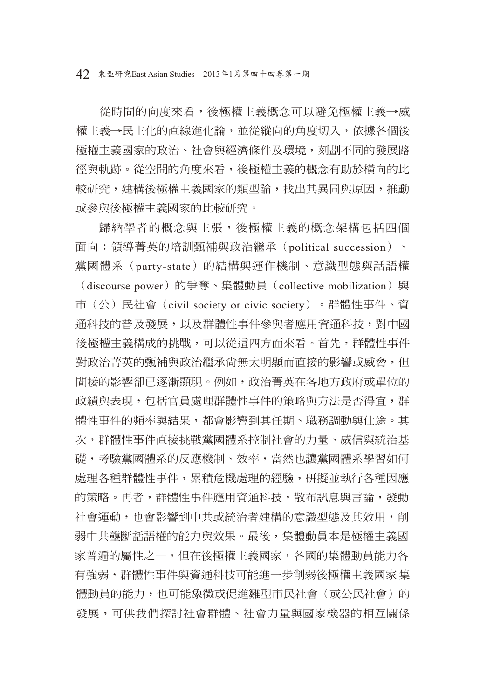從時間的向度來看,後極權主義概念可以避免極權主義→威 權主義→民主化的直線進化論,並從縱向的角度切入,依據各個後 極權主義國家的政治、社會與經濟條件及環境,刻劃不同的發展路 徑與軌跡。從空間的角度來看,後極權主義的概念有助於橫向的比 較研究,建構後極權主義國家的類型論,找出其異同與原因,推動 或參與後極權主義國家的比較研究。

歸納學者的概念與主張,後極權主義的概念架構包括四個 面向:領導菁英的培訓甄補與政治繼承(political succession)、 黨國體系(party-state)的結構與運作機制、意識型態與話語權 (discourse power)的爭奪、集體動員 (collective mobilization) 與 市(公)民社會(civil society or civic society)。群體性事件、資 通科技的普及發展,以及群體性事件參與者應用資通科技,對中國 後極權主義構成的挑戰,可以從這四方面來看。首先,群體性事件 對政治菁英的甄補與政治繼承尙無太明顯而直接的影響或威脅,但 間接的影響卻已逐漸顯現。例如,政治菁英在各地方政府或單位的 政績與表現,包括官員處理群體性事件的策略與方法是否得官,群 體性事件的頻率與結果,都會影響到其任期、職務調動與仕途。其 次,群體性事件直接挑戰黨國體系控制社會的力量、威信與統治基 礎,考驗黨國體系的反應機制、效率,當然也讓黨國體系學習如何 處理各種群體性事件,累積危機處理的經驗,研擬並執行各種因應 的策略。再者,群體性事件應用資通科技,散布訊息與言論,發動 社會運動,也會影響到中共或統治者建構的意識型態及其效用,削 弱中共壟斷話語權的能力與效果。最後,集體動員本是極權主義國 家普遍的屬性之一,但在後極權主義國家,各國的集體動員能力各 有強弱,群體性事件與資通科技可能進一步削弱後極權主義國家集 體動員的能力,也可能象徵或促進雛型市民社會(或公民社會)的 發展,可供我們探討社會群體、社會力量與國家機器的相互關係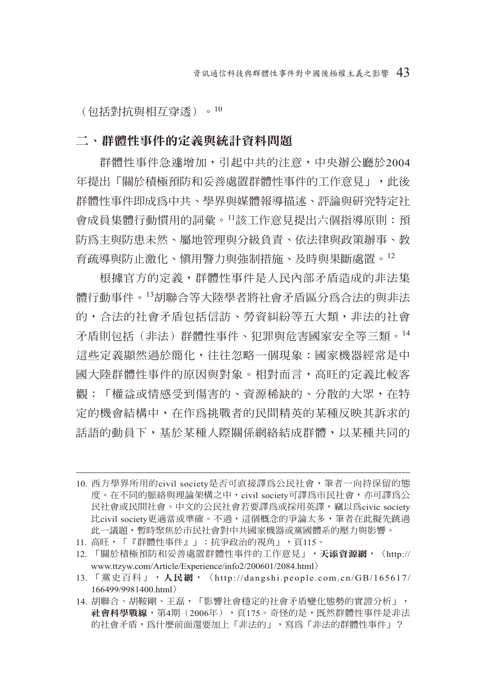(包括對抗與相互穿透)。<sup>10</sup>

#### 二、群體性事件的定義與統計資料問題

群體性事件急遽增加,引起中共的注意,中央辦公廳於2004 年提出「關於積極預防和妥善處置群體性事件的工作意見」,此後 群體性事件即成為中共、學界與媒體報導描述、評論與研究特定社 會成員集體行動慣用的詞彙。11該工作意見提出六個指導原則:預 防為主與防患未然、屬地管理與分級負責、依法律與政策辦事、教 育疏導與防止激化、慎用警力與強制措施、及時與果斷處置。<sup>12</sup>

根據官方的定義,群體性事件是人民內部矛盾造成的非法集 體行動事件。13胡聯合等大陸學者將社會矛盾區分為合法的與非法 的,合法的社會矛盾包括信訪、勞資糾紛等五大類,非法的社會 矛盾則包括(非法)群體性事件、犯罪與危害國家安全等三類。<sup>14</sup> 這些定義顯然過於簡化,往往忽略一個現象:國家機器經常是中 國大陸群體性事件的原因與對象。相對而言,高旺的定義比較客 觀:「權益或情感受到傷害的、資源稀缺的、分散的大眾,在特 定的機會結構中,在作為挑戰者的民間精英的某種反映其訴求的 話語的動員下,基於某種人際關係網絡結成群體,以某種共同的

- 12. 「關於積極預防和妥善處置群體性事件的工作意見」,天**添資源網**, 〈http:// www.ttzyw.com/Article/Experience/info2/200601/2084.html〉
- 13. 「黨史百科」,人民網,〈http://dangshi.people.com.cn/GB/165617/ 166499/9981400.html〉
- 14. 胡聯合、胡鞍剛、王磊,「影響社會穩定的社會矛盾變化態勢的實證分析」, 社會科學戰線,第4期(2006年),頁175。奇怪的是,既然群體性事件是非法 的社會矛盾,為什麼前面還要加上「非法的」,寫為「非法的群體性事件」?

<sup>10.</sup> 西方學界所用的civil society是否可直接譯為公民社會,筆者一向持保留的態 度。在不同的脈絡與理論架構之中, civil society可譯為市民社會,亦可譯為公 民社會或民間社會。中文的公民社會若要譯為或採用英譯,竊以為civic society 比civil society更適當或準確。不過,這個概念的爭論太多,筆者在此擬先跳過 此一議題,暫時聚焦於市民社會對中共國家機器或黨國體系的壓力與影響。

<sup>11.</sup> 高旺,「『群體性事件』」:抗爭政治的視角」,頁115。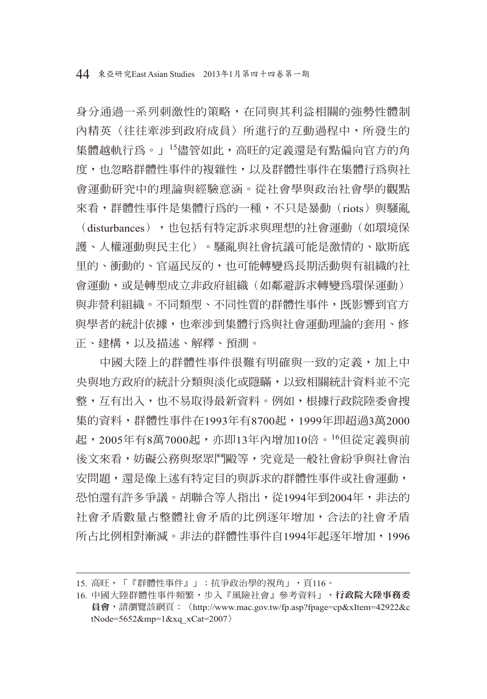正、建構,以及描述、解釋、預測。

身分通過一系列刺激性的策略,在同與其利益相關的強勢性體制 內精英〈往往牽涉到政府成員〉所進行的互動過程中,所發生的 集體越軌行為。」<sup>15</sup>儘管如此,高旺的定義還是有點偏向官方的角 度,也忽略群體性事件的複雜性,以及群體性事件在集體行為與社 會運動研究中的理論與經驗意涵。從社會學與政治社會學的觀點 來看,群體性事件是集體行為的一種,不只是暴動(riots) 與騷亂 (disturbances),也包括有特定訴求與理想的社會運動(如環境保 護、人權運動與民主化)。騷亂與社會抗議可能是激情的、歇斯底 里的、衝動的、官逼民反的,也可能轉變為長期活動與有組織的社 會運動,或是轉型成立非政府組織(如鄰避訴求轉變為環保運動) 與非營利組織。不同類型、不同性質的群體性事件,既影響到官方 與學者的統計依據,也牽涉到集體行為與社會運動理論的套用、修

中國大陸上的群體性事件很難有明確與一致的定義,加上中 央與地方政府的統計分類與淡化或隱瞞,以致相關統計資料並不完 整,互有出入,也不易取得最新資料。例如,根據行政院陸委會搜 集的資料,群體性事件在1993年有8700起,1999年即超過3萬2000 起, 2005年有8萬7000起, 亦即13年內增加10倍。<sup>16</sup>但從定義與前 後文來看,妨礙公務與聚眾鬥毆等,究竟是一般社會紛爭與社會治 安問題,還是像上述有特定目的與訴求的群體性事件或社會運動, 恐怕還有許多爭議。胡聯合等人指出,從1994年到2004年,非法的 社會矛盾數量占整體社會矛盾的比例逐年增加,合法的社會矛盾 所占比例相對漸減。非法的群體性事件自1994年起逐年增加,1996

<sup>15.</sup> 高旺,「『群體性事件』」:抗爭政治學的視角」,頁116。

<sup>16.</sup> 中國大陸群體性事件頻繁,步入『風險社會』參考資料」,行政院大陸事務委 員會,請瀏覽該網頁:〈http://www.mac.gov.tw/fp.asp?fpage=cp&xItem=42922&c tNode=5652&mp=1&xq\_xCat=2007 $\rangle$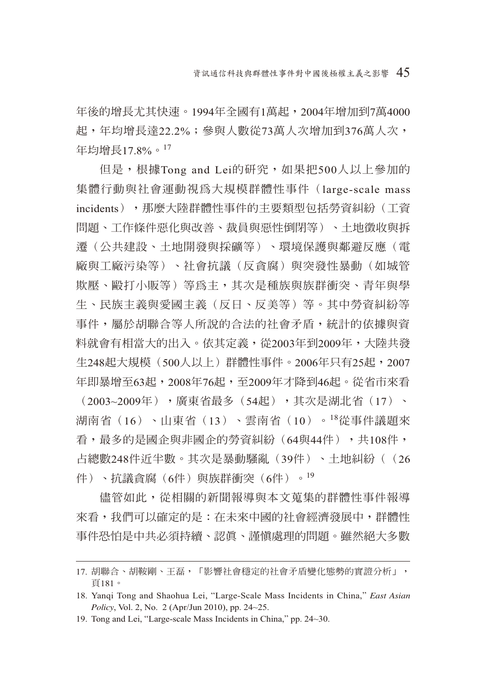年後的增長尤其快速。1994年全國有1萬起,2004年增加到7萬4000 起,年均增長達22.2%;參與人數從73萬人次增加到376萬人次, 年均增長17.8%。<sup>17</sup>

但是,根據Tong and Lei的研究,如果把500人以上參加的 集體行動與社會運動視為大規模群體性事件(large-scale mass incidents),那麼大陸群體性事件的主要類型包括勞資糾紛(工資 問題、工作條件惡化與改善、裁員與惡性倒閉等)、土地徵收與拆 遷(公共建設、土地開發與採礦等)、環境保護與鄰避反應(電 廠與工廠污染等)、社會抗議(反貪腐)與突發性暴動(如城管 欺壓、毆打小販等)等為主,其次是種族與族群衝突、青年與學 生、民族主義與愛國主義(反日、反美等)等。其中勞資糾紛等 事件,屬於胡聯合等人所說的合法的社會矛盾,統計的依據與資 料就會有相當大的出入。依其定義,從2003年到2009年,大陸共發 牛248起大規模(500人以上)群體性事件。2006年只有25起,2007 年即暴增至63起,2008年76起,至2009年才降到46起。從省市來看 (2003~2009年),廣東省最多(54起),其次是湖北省(17)、 湖南省(16)、山東省(13)、雲南省(10)。<sup>18</sup>從事件議題來 看,最多的是國企與非國企的勞資糾紛(64與44件),共108件, 占總數248件近半數。其次是暴動騷亂(39件)、土地糾紛((26

件)、抗議貪腐(6件)與族群衝突(6件)。19

儘管如此,從相關的新聞報導與本文蒐集的群體性事件報導 來看,我們可以確定的是:在未來中國的社會經濟發展中,群體性 事件恐怕是中共必須持續、認真、謹慎處理的問題。雖然絕大多數

<sup>17.</sup> 胡聯合、胡鞍剛、王磊,「影響社會穩定的社會矛盾變化態勢的實證分析」, 頁181。

<sup>18.</sup> Yanqi Tong and Shaohua Lei, "Large-Scale Mass Incidents in China," *East Asian Policy*, Vol. 2, No. 2 (Apr/Jun 2010), pp. 24~25.

<sup>19.</sup> Tong and Lei, "Large-scale Mass Incidents in China," pp. 24~30.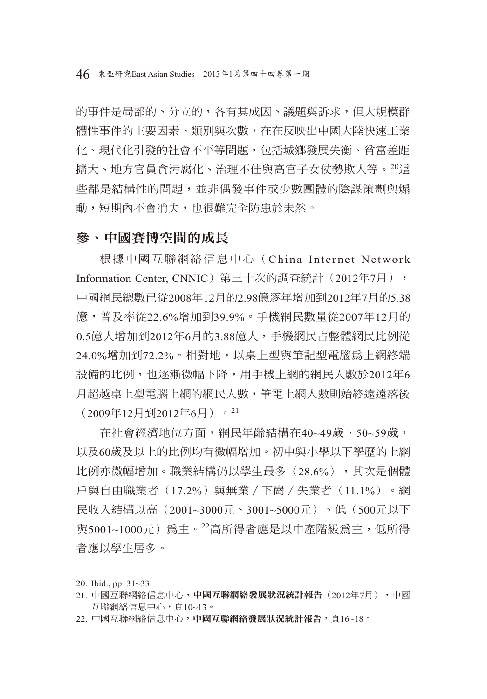的事件是局部的、分立的,各有其成因、議題與訴求,但大規模群 體性事件的主要因素、類別與次數,在在反映出中國大陸快速工業 化、現代化引發的社會不平等問題,包括城鄉發展失衡、貧富差距 擴大、地方官員貪污腐化、治理不佳與高官子女仗勢欺人等。20這 些都是結構性的問題,並非偶發事件或少數團體的陰謀策劃與煽 動,短期內不會消失,也很難完全防患於未然。

## 參、中國賽博空間的成長

根據中國互聯網絡信息中心(China Internet Network Information Center, CNNIC) 第三十次的調査統計 (2012年7月), 中國網民總數已從2008年12月的2.98億逐年增加到2012年7月的5.38 億,普及率從22.6%增加到39.9%。手機網民數量從2007年12月的 0.5億人增加到2012年6月的3.88億人,手機網民占整體網民比例從 24.0%增加到72.2%。相對地,以桌上型與筆記型電腦為上網終端 設備的比例,也逐漸微幅下降,用手機上網的網民人數於2012年6 月超越桌上型電腦上網的網民人數,筆電上網人數則始終遠遠落後 (2009年12月到2012年6月)。<sup>21</sup>

在社會經濟地位方面,網民年齡結構在40~49歲、50~59歲, 以及60歲及以上的比例均有微幅增加。初中與小學以下學歷的上網 比例亦微幅增加。職業結構仍以學生最多(28.6%),其次是個體 戶與自由職業者(17.2%)與無業/下崗/失業者(11.1%)。網 民收入結構以高(2001~3000元、3001~5000元)、低(500元以下 與5001~1000元)為主。<sup>22</sup>高所得者應是以中產階級為主,低所得 者應以學生居多。

<sup>20.</sup> Ibid., pp. 31~33.

<sup>21.</sup> 中國互聯網絡信息中心,中國互聯網絡發展狀況統計報告(2012年7月),中國 互聯網絡信息中心,頁10~13。

<sup>22.</sup> 中國互聯網絡信息中心,中國互聯網絡發展狀況統計報告,頁16~18。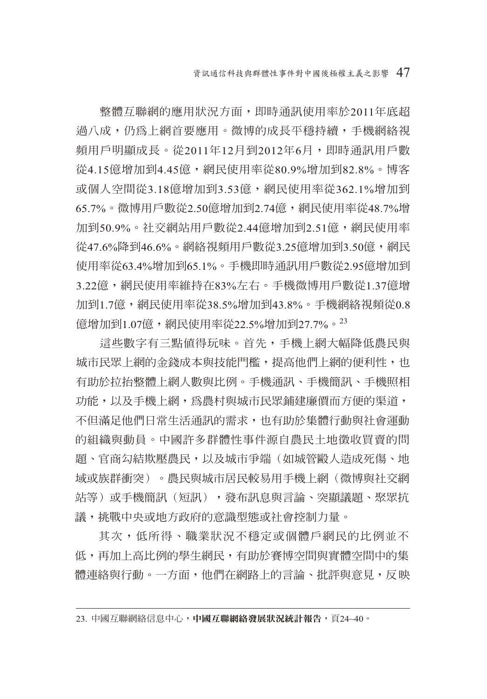整體互聯網的應用狀況方面,即時通訊使用率於2011年底超 渦八成,仍為上網首要應用。微博的成長平穩持續,手機網絡視 頻用戶明顯成長。從2011年12月到2012年6月,即時通訊用戶數 從4.15億增加到4.45億,網民使用率從80.9%增加到82.8%。博客 或個人空間從3.18億增加到3.53億,網民使用率從362.1%增加到 65.7%。微博用戶數從2.50億增加到2.74億,網民使用率從48.7%增 加到50.9%。社交網站用戶數從2.44億增加到2.51億,網民使用率 從47.6%降到46.6%。網絡視頻用戶數從3.25億增加到3.50億,網民 使用率從63.4%增加到65.1%。手機即時通訊用戶數從2.95億增加到 3.22億,網民使用率維持在83%左右。手機微博用戶數從1.37億增 加到1.7億,網民使用率從38.5%增加到43.8%。手機網絡視頻從0.8 億增加到1.07億,網民使用率從22.5%增加到27.7%。<sup>23</sup>

這些數字有三點值得玩味。首先,手機上網大幅降低農民與 城市民眾上網的金錢成本與技能門檻,提高他們上網的便利性,也 有助於拉抬整體上網人數與比例。手機通訊、手機簡訊、手機照相 功能,以及手機上網,為農村與城市民眾鋪建廉價而方便的渠道, 不但滿足他們日常生活通訊的需求,也有助於集體行動與社會運動 的組織與動員。中國許多群體性事件源自農民土地徵收買賣的問 題、官商勾結欺壓農民,以及城市爭端(如城管毆人造成死傷、地 域或族群衝突)。農民與城市居民較易用手機上網(微博與社交網 站等)或手機簡訊(短訊),發布訊息與言論、突顯議題、聚眾抗 議,挑戰中央或地方政府的意識型態或社會控制力量。

其次,低所得、職業狀況不穩定或個體戶網民的比例並不 低,再加上高比例的學生網民,有助於賽博空間與實體空間中的集 體連絡與行動。一方面,他們在網路上的言論、批評與意見,反映

<sup>23.</sup> 中國互聯網絡信息中心,中國互聯網絡發展狀況統計報告,頁24~40。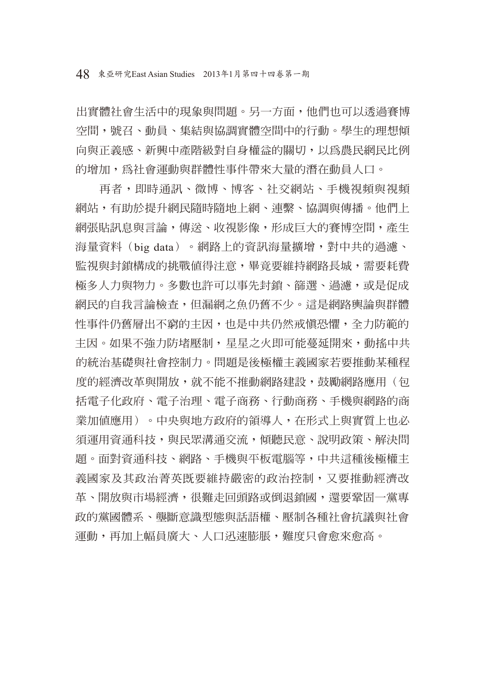出實體社會生活中的現象與問題。另一方面,他們也可以透過賽博 空間,號召、動員、集結與協調實體空間中的行動。學生的理想傾 向與正義感、新興中產階級對自身權益的關切,以為農民網民比例 的增加,為社會運動與群體性事件帶來大量的潛在動員人口。

再者,即時通訊、微博、博客、社交網站、手機視頻與視頻 網站,有助於提升網民隨時隨地上網、連繫、協調與傳播。他們上 網張貼訊息與言論,傳送、收視影像,形成巨大的賽博空間,產生 海量資料(big data)。網路上的資訊海量擴增,對中共的過濾、 監視與封鎖構成的挑戰值得注意,畢竟要維持網路長城,需要耗費 極多人力與物力。多數也許可以事先封銷、篩選、過濾,或是促成 網民的自我言論檢查,但漏網之魚仍舊不少。這是網路輿論與群體 性事件仍舊層出不窮的主因,也是中共仍然戒慎恐懼,全力防範的 主因。如果不強力防堵壓制,星星之火即可能蔓延開來,動搖中共 的統治基礎與社會控制力。問題是後極權主義國家若要推動某種程 度的經濟改革與開放,就不能不推動網路建設,鼓勵網路應用(句 括電子化政府、電子治理、電子商務、行動商務、手機與網路的商 業加值應用)。中央與地方政府的領導人, 在形式上與實質上也必 須運用資涌科技,與民眾溝涌交流,傾聽民意、說明政策、解決問 題。面對資通科技、網路、手機與平板電腦等,中共這種後極權主 義國家及其政治菁英既要維持嚴密的政治控制,又要推動經濟改 革、開放與市場經濟,很難走回頭路或倒退銷國,還要鞏固一黨專 政的黨國體系、壟斷意識型態與話語權、壓制各種社會抗議與社會 運動,再加上幅員廣大、人口迅速膨脹,難度只會愈來愈高。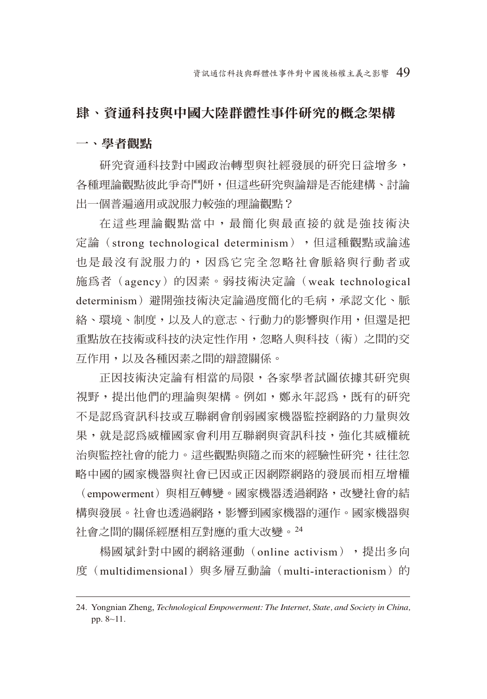## 肆、資通科技與中國大陸群體性事件研究的概念架構

#### 一、學者觀點

研究資通科技對中國政治轉型與社經發展的研究日益增多, 各種理論觀點彼此爭奇鬥妍,但這些研究與論辯是否能建構、討論 出一個普遍適用或說服力較強的理論觀點?

在這些理論觀點當中,最簡化與最直接的就是強技術決 定論(strong technological determinism),但這種觀點或論述 也是最沒有說服力的,因為它完全忽略社會脈絡與行動者或 施為者(agency)的因素。弱技術決定論(weak technological determinism)避開強技術決定論過度簡化的毛病,承認文化、脈 絡、環境、制度,以及人的意志、行動力的影響與作用,但還是把 重點放在技術或科技的決定性作用,忽略人與科技(術)之間的交 互作用,以及各種因素之間的辯證關係。

正因技術決定論有相當的局限,各家學者試圖依據其研究與 視野,提出他們的理論與架構。例如,鄭永年認為,既有的研究 不是認為資訊科技或互聯網會削弱國家機器監控網路的力量與效 果,就是認為威權國家會利用互聯網與資訊科技,強化其威權統 治與監控社會的能力。這些觀點與隨之而來的經驗性研究,往往忽 略中國的國家機器與社會已因或正因網際網路的發展而相互增權 (empowerment)與相互轉變。國家機器透過網路,改變社會的結 構與發展。社會也透過網路,影響到國家機器的運作。國家機器與

社會之間的關係經歷相互對應的重大改變。<sup>24</sup>

楊國斌針對中國的網絡運動 (online activism), 提出多向 度(multidimensional)與多層互動論(multi-interactionism)的

<sup>24.</sup> Yongnian Zheng, *Technological Empowerment: The Internet, State, and Society in China,* pp. 8~11.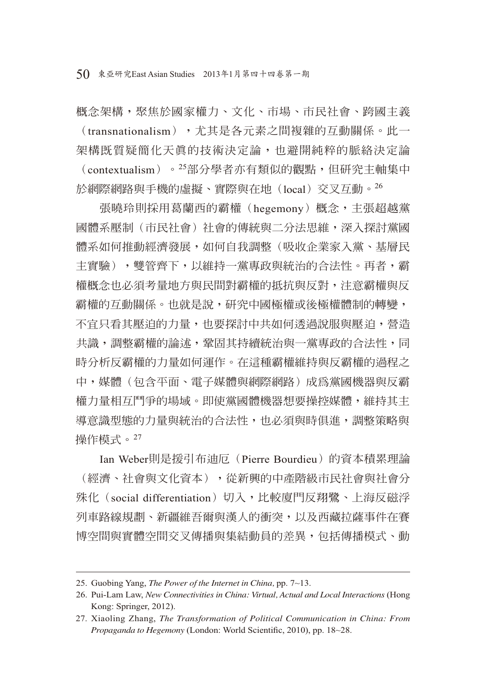50 東亞研究East Asian Studies 2013年1月第四十四卷第一期

概念架構,聚焦於國家權力、文化、市場、市民社會、跨國主義 (transnationalism),尤其是各元素之間複雜的互動關係。此一 架構既質疑簡化天真的技術決定論,也避開純粹的脈絡決定論 (contextualism)。25部分學者亦有類似的觀點,但研究主軸集中 於網際網路與手機的虛擬、實際與在地(local)交叉互動。<sup>26</sup>

張曉玲則採用葛蘭西的霸權(hegemony)概念,主張超越黨 國體系壓制(市民社會)社會的傳統與二分法思維,深入探討黨國 體系如何推動經濟發展,如何自我調整(吸收企業家入黨、基層民 主實驗),雙管齊下,以維持一黨專政與統治的合法性。再者,霸 權概念也必須考量地方與民間對霸權的抵抗與反對,注意霸權與反 霸權的互動關係。也就是說,研究中國極權或後極權體制的轉變, 不宜只看其壓迫的力量,也要探討中共如何透過說服與壓迫,營造 共識,調整霸權的論述,置固其持續統治與一黨專政的合法性,同 時分析反霸權的力量如何運作。在這種霸權維持與反霸權的過程之 中,媒體(包含平面、電子媒體與網際網路)成為黨國機器與反霸 權力量相互鬥爭的場域。即使黨國體機器想要操控媒體,維持其主 導意識型態的力量與統治的合法性,也必須與時俱進,調整策略與 操作模式。<sup>27</sup>

Ian Weber則是援引布油厄 (Pierre Bourdieu) 的資本積累理論 (經濟、社會與文化資本),從新興的中產階級市民社會與社會分 殊化(social differentiation)切入,比較廈門反翔鷺、上海反磁浮 列車路線規劃、新疆維吾爾與漢人的衝突,以及西藏拉薩事件在賽 博空間與實體空間交叉傳播與集結動員的差異,包括傳播模式、動

<sup>25.</sup> Guobing Yang, *The Power of the Internet in China,* pp. 7~13.

<sup>26.</sup> Pui-Lam Law, *New Connectivities in China: Virtual, Actual and Local Interactions* (Hong Kong: Springer, 2012).

<sup>27.</sup> Xiaoling Zhang, *The Transformation of Political Communication in China: From*  Propaganda to Hegemony (London: World Scientific, 2010), pp. 18~28.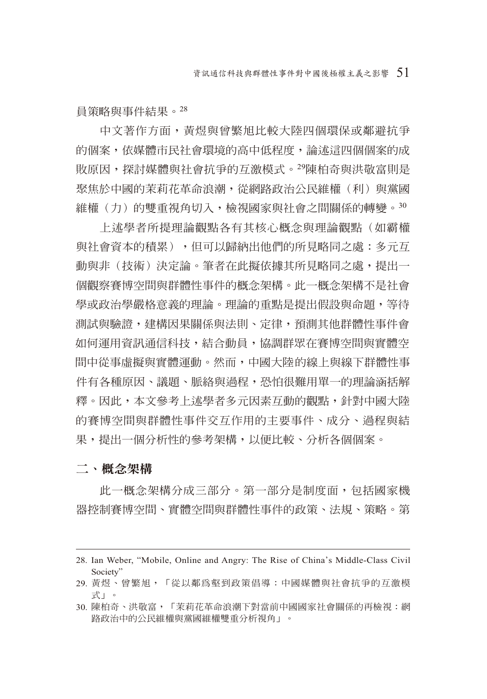員策略與事件結果。<sup>28</sup>

中文著作方面,黃煜與曾繁旭比較大陸四個環保或鄰避抗爭 的個案,依媒體市民社會環境的高中低程度,論述這四個個案的成 敗原因,探討媒體與社會抗爭的互激模式。29陳柏奇與洪敬富則是 聚隹於中國的茉莉花革命浪潮,從網路政治公民維權(利) 與電國 維權(力)的雙重視角切入,檢視國家與社會之間關係的轉變。30

上述學者所提理論觀點各有其核心概念與理論觀點(如霸權 與社會資本的積累),但可以歸納出他們的所見略同之處:多元互 動與非(技術)決定論。筆者在此擬依據其所見略同之處,提出一 個觀察賽博空間與群體性事件的概念架構。此一概念架構不是社會 學或政治學嚴格意義的理論。理論的重點是提出假設與命題, 等待 測試與驗證,建構因果關係與法則、定律,預測其他群體性事件會 如何運用資訊通信科技,結合動員,協調群眾在賽博空間與實體空 間中從事虛擬與實體運動。然而,中國大陸的線上與線下群體性事 件有各種原因、議題、脈絡與過程,恐怕很難用單一的理論涵括解 釋。因此,本文參考上沭學者多元因素互動的觀點,針對中國大陸 的賽博空間與群體性事件交互作用的主要事件、成分、過程與結 果,提出一個分析性的參考架構,以便比較、分析各個個案。

#### 二、概念架構

此一概念架構分成三部分。第一部分是制度面,包括國家機 器控制賽博空間、實體空間與群體性事件的政策、法規、策略。第

<sup>28.</sup> Ian Weber, "Mobile, Online and Angry: The Rise of China's Middle-Class Civil Society"

<sup>29.</sup> 黃煜、曾繁旭,「從以鄰為壑到政策倡導:中國媒體與社會抗爭的互激模 式」。

<sup>30.</sup> 陳柏奇、洪敬富,「茉莉花革命浪潮下對當前中國國家社會關係的再檢視:網 路政治中的公民維權與黨國維權雙重分析視角」。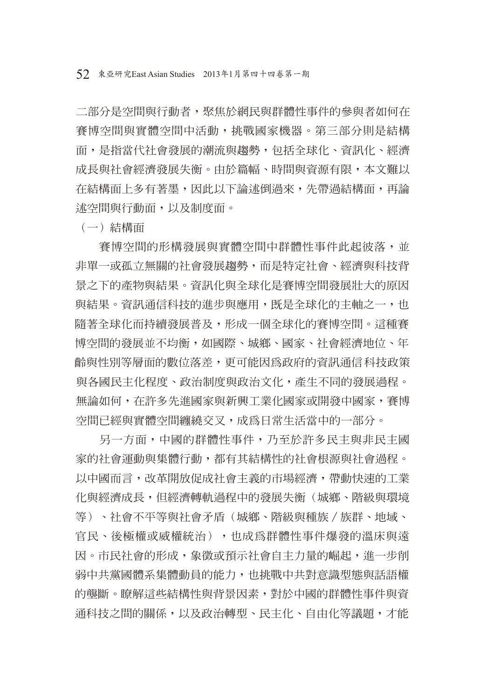二部分是空間與行動者,聚焦於網民與群體性事件的參與者如何在 賽博空間與實體空間中活動,挑戰國家機器。第三部分則是結構 面,是指當代社會發展的潮流與趨勢,包括全球化、資訊化、經濟 成長與社會經濟發展失衡。由於篇幅、時間與資源有限,本文難以 在結構面上多有著墨,因此以下論述倒過來,先帶過結構面,再論 述空間與行動面,以及制度面。

(一)結構面

賽博空間的形構發展與實體空間中群體性事件此起彼落,並 非單一或孤立無關的社會發展趨勢,而是特定社會、經濟與科技背 景之下的產物與結果。資訊化與全球化是賽博空間發展壯大的原因 與結果。資訊涌信科技的淮步與應用, 既是全球化的主軸之一, 也 隨著全球化而持續發展普及,形成一個全球化的賽博空間。這種賽 博空間的發展並不均衡,如國際、城鄉、國家、社會經濟地位、年 齡與性別等層面的數位落差,更可能因為政府的資訊通信科技政策 與各國民主化程度、政治制度與政治文化,產生不同的發展過程。 無論如何,在許多先進國家與新興工業化國家或開發中國家,賽博 空間已經與實體空間纏繞交叉,成為日常生活當中的一部分。

另一方面,中國的群體性事件,乃至於許多民主與非民主國 家的社會運動與集體行動,都有其結構性的社會根源與社會過程。 以中國而言,改革開放促成社會主義的市場經濟,帶動快速的工業 化與經濟成長,但經濟轉軌過程中的發展失衡(城鄉、階級與環境 等)、社會不平等與社會矛盾(城鄉、階級與種族/族群、地域、 官民、後極權或威權統治),也成為群體性事件爆發的溫床與遠 因。市民社會的形成,象徵或預示社會自主力量的崛起,進一步削 弱中共黨國體系集體動員的能力,也挑戰中共對意識型態與話語權 的壟斷。瞭解這些結構性與背景因素,對於中國的群體性事件與資 通科技之間的關係,以及政治轉型、民主化、自由化等議題,才能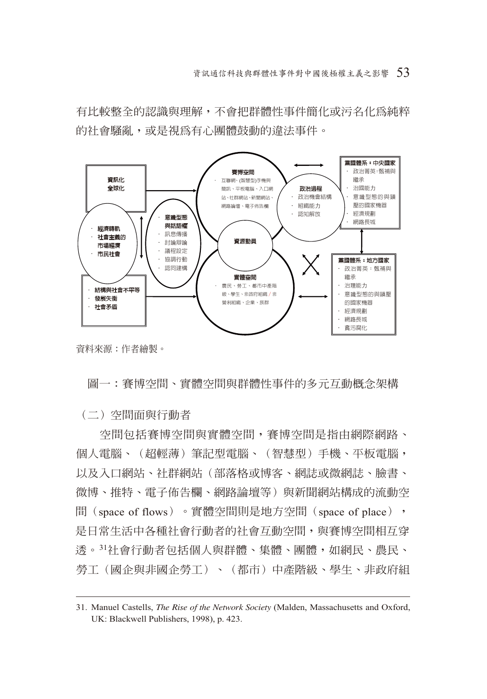有比較整全的認識與理解,不會把群體性事件簡化或污名化為純粹 的社會騷亂,或是視為有心團體鼓動的違法事件。



資料來源:作者繪製。

圖一:賽博空間、實體空間與群體性事件的多元互動概念架構

(二)空間面與行動者

空間包括賽博空間與實體空間,賽博空間是指由網際網路、 個人電腦、(超輕薄)筆記型電腦、(智慧型)手機、平板電腦, 以及入口網站、社群網站(部落格或博客、網誌或微網誌、臉書、 微博、推特、電子佈告欄、網路論壇等)與新聞網站構成的流動空 間(space of flows)。實體空間則是地方空間(space of place), 是日常生活中各種社會行動者的社會互動空間,與賽博空間相互穿 透。<sup>31</sup>社會行動者包括個人與群體、集體、團體,如網民、農民、 勞工(國企與非國企勞工)、(都市)中產階級、學生、非政府組

<sup>31.</sup> Manuel Castells, *The Rise of the Network Society* (Malden, Massachusetts and Oxford, UK: Blackwell Publishers, 1998), p. 423.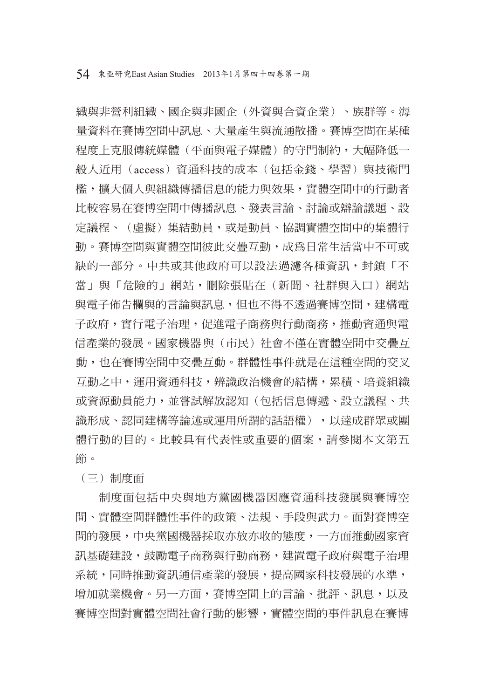織與非營利組織、國企與非國企(外資與合資企業)、族群等。海 量資料在賽博空間中訊息、大量產生與流通散播。賽博空間在某種 程度上克服傳統媒體(平面與電子媒體)的守門制約,大幅降低一 般人近用(access)資通科技的成本(包括金錢、學習)與技術門 檻,擴大個人與組織傳播信息的能力與效果,實體空間中的行動者 比較容易在賽博空間中傳播訊息、發表言論、討論或辯論議題、設 定議程、(虛擬)集結動員,或是動員、協調實體空間中的集體行 動。賽博空間與實體空間彼此交疊互動,成為日常生活當中不可或 缺的一部分。中共或其他政府可以設法過濾各種資訊,封鎖「不 當」與「危險的」網站,刪除張貼在(新聞、社群與入口)網站 與電子佈告欄與的言論與訊息,但也不得不透過賽博空間,建構電 子政府,實行雷子治理,促進雷子商務與行動商務,推動資通與雷 信產業的發展。國家機器與(市民)社會不僅在實體空間中交疊互 動,也在賽博空間中交疊互動。群體性事件就是在這種空間的交叉 互動之中,運用資通科技,辨識政治機會的結構,累積、培養組織 或資源動員能力,並嘗試解放認知(包括信息傳遞、設立議程、共 識形成、認同建構等論述或運用所謂的話語權),以達成群眾或團 體行動的目的。比較具有代表性或重要的個案,請參閱本文第五 節。

(三)制度面

制度面包括中央與地方黨國機器因應資通科技發展與賽博空 間、實體空間群體性事件的政策、法規、手段與武力。面對賽博空 間的發展,中央黨國機器採取亦放亦收的態度,一方面推動國家資 訊基礎建設,鼓勵電子商務與行動商務,建置電子政府與電子治理 系統,同時推動資訊通信產業的發展,提高國家科技發展的水準, 增加就業機會。另一方面,賽博空間上的言論、批評、訊息,以及 賽博空間對實體空間社會行動的影響,實體空間的事件訊息在賽博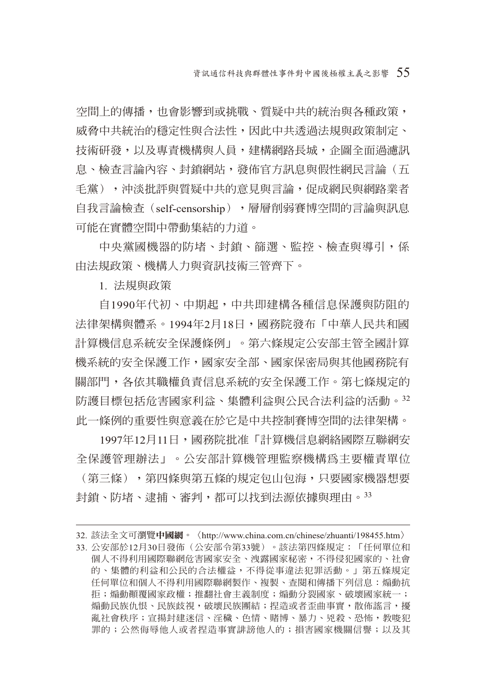空間上的傳播,也會影響到或挑戰、質疑中共的統治與各種政策, 威脅中共統治的穩定性與合法性,因此中共透過法規與政策制定、 技術研發,以及專責機構與人員,建構網路長城,企圖全面過濾訊 息、檢查言論內容、封鎖網站,發佈官方訊息與假性網民言論(五 手當),神淡批評與質疑中共的意見與言論,促成網民與網路業者 自我言論檢查(self-censorship), 層層削弱賽博空間的言論與訊息 可能在實體空間中帶動集結的力道。

中央黨國機器的防堵、封鎖、篩選、監控、檢查與導引,係 由法規政策、機構人力與資訊技術三管齊下。

1. 法規與政策

自1990年代初、中期起,中共即建構各種信息保護與防阻的 法律架構與體系。1994年2月18日,國務院發布「中華人民共和國 計算機信息系統安全保護條例」。第六條規定公安部主管全國計算 機系統的安全保護工作,國家安全部、國家保密局與其他國務院有 關部門,各依其職權負責信息系統的安全保護工作。第七條規定的 防護目標包括危害國家利益、集體利益與公民合法利益的活動。<sup>32</sup> 此一條例的重要性與意義在於它是中共控制賽博空間的法律架構。

1997年12月11日,國務院批准「計算機信息網絡國際互聯網安 全保護管理辦法」。公安部計算機管理監察機構為主要權責單位 (第三條),第四條與第五條的規定包山包海,只要國家機器想要 封銷、防堵、逮捕、審判,都可以找到法源依據與理由。33

<sup>32.</sup> 該法全文可瀏覽中國網。〈http://www.china.com.cn/chinese/zhuanti/198455.htm〉 33. 公安部於12月30日發佈(公安部令第33號)。該法第四條規定:「任何單位和 個人不得利用國際聯網危害國家安全、洩露國家秘密,不得侵犯國家的、社會 的、集體的利益和公民的合法權益,不得從事違法犯罪活動。」第五條規定 任何單位和個人不得利用國際聯網製作、複製、查閱和傳播下列信息:煽動抗 拒;煽動顛覆國家政權;推翻社會主義制度;煽動分裂國家、破壞國家統一; 煽動民族仇恨、民族歧視,破壞民族團結;捏造或者歪曲事實,散佈謠言,擾 亂社會秩序;宣揚封建迷信、淫穢、色情、賭博、暴力、兇殺、恐怖,教唆犯 罪的;公然侮辱他人或者捏造事實誹謗他人的;損害國家機關信譽;以及其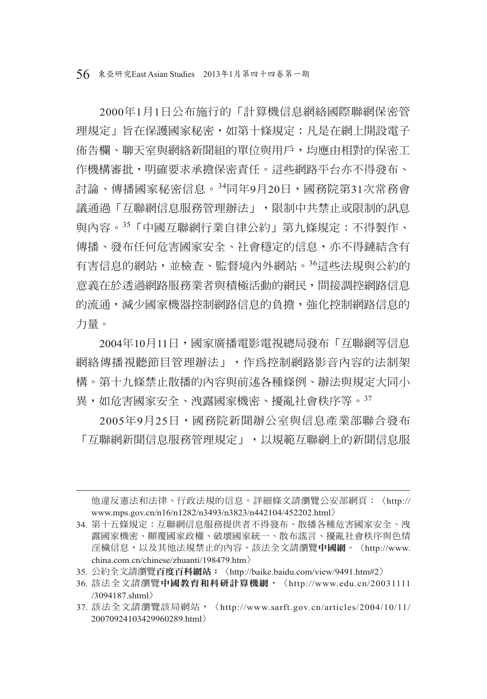56 東亞研究East Asian Studies 2013年1月第四十四卷第一期

2000年1月1日公布施行的「計算機信息網絡國際聯網保密管 理規定」旨在保護國家秘密,如第十條規定:凡是在網上開設電子 佈告欄、聊天室與網絡新聞組的單位與用戶,均應由相對的保密工 作機構審批,明確要求承擔保密責任。這些網路平台亦不得發布、 討論、傳播國家秘密信息。34同年9月20日,國務院第31次常務會 議通過「互聯網信息服務管理辦法」,限制中共禁止或限制的訊息 與內容。35「中國互聯網行業自律公約」第九條規定:不得製作、 傳播、發布任何危害國家安全、社會穩定的信息,亦不得鏈結含有 有害信息的網站,並檢查、監督境內外網站。36這些法規與公約的 意義在於透過網路服務業者與積極活動的網民,間接調控網路信息 的流通,减少國家機器控制網路信息的負擔,強化控制網路信息的 力量。

2004年10月11日,國家廣播電影電視總局發布「互聯網等信息 網絡傳播視聽節目管理辦法」,作為控制網路影音內容的法制架 構。第十九條禁止散播的內容與前述各種條例、辦法與規定大同小 異,如危害國家安全、洩露國家機密、擾亂社會秩序等。<sup>37</sup>

2005年9月25日,國務院新聞辦公室與信息產業部聯合發布 「互聯網新聞信息服務管理規定」,以規範互聯網上的新聞信息服

他違反憲法和法律、行政法規的信息。詳細條文請瀏覽公安部網頁:〈http:// www.mps.gov.cn/n16/n1282/n3493/n3823/n442104/452202.html〉

<sup>34.</sup> 第十五條規定:互聯網信息服務提供者不得發布、散播各種危害國家安全、洩 露國家機密、顛覆國家政權、破壞國家統一、散布謠言、擾亂社會秩序與色情 淫穢信息,以及其他法規禁止的內容。該法全文請瀏覽中國網。〈http://www. china.com.cn/chinese/zhuanti/198479.htm〉

<sup>35.</sup> 公約全文請瀏覽百度百科網站:〈http://baike.baidu.com/view/9491.htm#2〉

<sup>36.</sup> 該法全文請瀏覽中國教育和科研計算機網,〈http://www.edu.cn/20031111 /3094187.shtml〉

<sup>37.</sup> 該法全文請瀏覽該局網站,〈http://www.sarft.gov.cn/articles/2004/10/11/ 20070924103429960289.html〉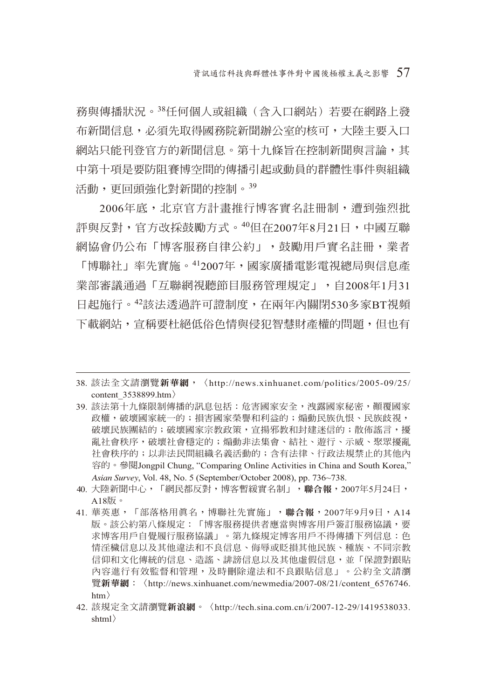務與傳播狀況。38任何個人或組織(含入口網站)若要在網路上發 布新聞信息,必須先取得國務院新聞辦公室的核可,大陸主要入口 網站只能刊登官方的新聞信息。第十九條旨在控制新聞與言論,其 中第十項是要防阻賽博空間的傳播引起或動員的群體性事件與組織 活動,更回頭強化對新聞的控制。<sup>39</sup>

2006年底,北京官方計畫推行博客實名註冊制,遭到強烈批 評與反對,官方改採鼓勵方式。40但在2007年8月21日,中國互聯 網協會仍公布「博客服務自律公約」,鼓勵用戶實名註冊,業者 「博聯社」率先實施。412007年,國家廣播電影電視總局與信息產 業部審議通過「互聯網視聽節目服務管理規定」,自2008年1月31 日起施行。42該法透過許可證制度,在兩年內關閉530多家BT視頻 下載網站,宣稱要杜絕低俗色情與侵犯智慧財產權的問題,但也有

- 39. 該法第十九條限制傳播的訊息包括:危害國家安全,洩露國家秘密,顛覆國家 政權,破壞國家統一的;損害國家榮譽和利益的;煽動民族仇恨、民族歧視, 破壞民族團結的;破壞國家宗教政策,宣揚邪教和封建迷信的;散佈謠言,擾 亂社會秩序,破壞社會穩定的;煽動非法集會、結社、遊行、示威、聚眾擾亂 社會秩序的;以非法民間組織名義活動的;含有法律、行政法規禁止的其他內 容的。參閱Jongpil Chung, "Comparing Online Activities in China and South Korea," *Asian Survey*, Vol. 48, No. 5 (September/October 2008), pp. 736~738.
- 40. 大陸新聞中心,「網民都反對,博客暫緩實名制」,聯合報,2007年5月24日, A18版。
- 41. 華英惠,「部落格用真名,博聯社先實施」,聯合報,2007年9月9日,A14 版。該公約第八條規定:「博客服務提供者應當與博客用戶簽訂服務協議,要 求博客用戶自覺履行服務協議」。第九條規定博客用戶不得傳播下列信息:色 情淫穢信息以及其他違法和不良信息、侮辱或貶損其他民族、種族、不同宗教 信仰和文化傳統的信息、造謠、誹謗信息以及其他虛假信息,並「保證對跟貼 內容進行有效監督和管理,及時刪除違法和不良跟貼信息」。公約全文請瀏 覽新華網: 〈http://news.xinhuanet.com/newmedia/2007-08/21/content 6576746. htm〉
- 42. 該規定全文請瀏覽新浪網。〈http://tech.sina.com.cn/i/2007-12-29/1419538033. shtml〉

<sup>38.</sup> 該法全文請瀏覽新華網,〈http://news.xinhuanet.com/politics/2005-09/25/ content\_3538899.htm〉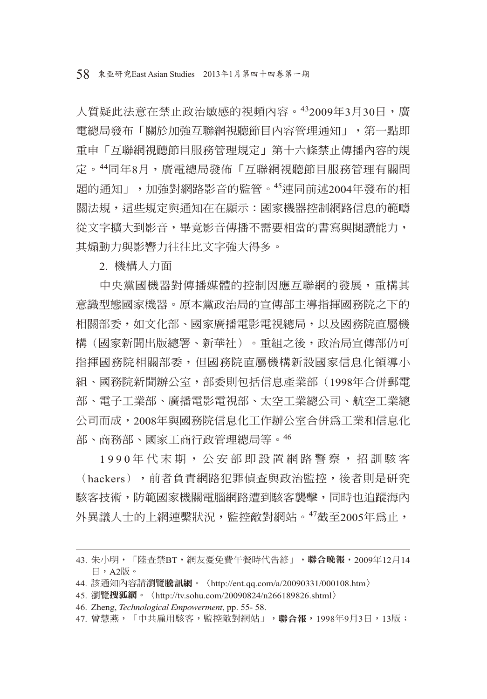人質疑此法意在禁止政治敏感的視頻內容。432009年3月30日,廣 電總局發布「關於加強互聯網視聽節目內容管理通知」,第一點即 重申「互聯網視聽節目服務管理規定」第十六條禁止傳播內容的規 定。44同年8月,廣電總局發佈「互聯網視聽節目服務管理有關問 題的通知」,加強對網路影音的監管。45連同前述2004年發布的相 關法規,這些規定與通知在在顯示:國家機器控制網路信息的範疇 從文字擴大到影音,畢竟影音傳播不需要相當的書寫與閱讀能力, 其煽動力與影響力往往比文字強大得多。

2. 機構人力面

中央黨國機器對傳播媒體的控制因應互聯網的發展,重構其 意識型態國家機器。原本黨政治局的宣傳部主導指揮國務院之下的 相關部委,如文化部、國家廣播電影電視總局,以及國務院直屬機 構(國家新聞出版總署、新華社)。重組之後,政治局宣傳部仍可 指揮國務院相關部委,但國務院直屬機構新設國家信息化領導小 組、國務院新聞辦公室,部委則包括信息產業部(1998年合併郵電 部、電子工業部、廣播電影電視部、太空工業總公司、航空工業總 公司而成,2008年與國務院信息化工作辦公室合併為工業和信息化 部、商務部、國家工商行政管理總局等。<sup>46</sup>

1990年代末期,公安部即設置網路警察,招訓駭客 (hackers),前者負責網路犯罪偵查與政治監控,後者則是研究 駭客技術,防範國家機關電腦網路遭到駭客襲擊,同時也追蹤海內 外異議人士的上網連繫狀況,監控敵對網站。<sup>47</sup>截至2005年為止,

<sup>43.</sup> 朱小明,「陸查禁BT,網友憂免費午餐時代告終」,聯合晚報, 2009年12月14 日,A2版。

<sup>44.</sup> 該通知內容請瀏覽騰訊網。〈http://ent.qq.com/a/20090331/000108.htm〉

<sup>45.</sup> 瀏覽搜狐網。〈http://tv.sohu.com/20090824/n266189826.shtml〉

<sup>46.</sup> Zheng, *Technological Empowerment*, pp. 55- 58.

<sup>47.</sup> 曾慧燕,「中共雇用駭客,監控敵對網站」,聯合報,1998年9月3日,13版;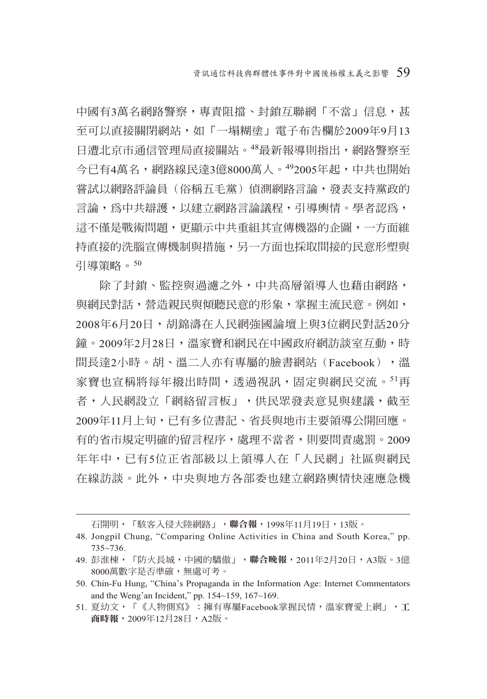中國有3萬名網路警察,專責阳擋、封銷互聯網「不當」信息,甚 至可以直接關閉網站,如「一塌糊塗」電子布告欄於2009年9月13 日漕北京市涌信管理局直接關站。48最新報導則指出,網路警察至 今已有4萬名,網路線民達3億8000萬人。<sup>49</sup>2005年起,中共也開始 嘗試以網路評論員(俗稱五毛黨)偵測網路言論,發表支持黨政的 言論,為中共辯護,以建立網路言論議程,引導輿情。學者認為, 這不僅是戰術問題,更顯示中共重組其宣傳機器的企圖,一方面維 持直接的洗腦宣傳機制與措施,另一方面也採取間接的民意形塑與 引導策略。<sup>50</sup>

除了封鎖、監控與過濾之外,中共高層領導人也藉由網路, 與網民對話,營造親民與傾聽民意的形象,掌握主流民意。例如, 2008年6月20日,胡錦濤在人民網強國論壇上與3位網民對話20分 鐘。2009年2月28日,溫家寶和網民在中國政府網訪談室互動,時 間長達2小時。胡、溫二人亦有專屬的臉書網站(Facebook),溫 家寶也宣稱將每年撥出時間,透過視訊,固定與網民交流。51再 者,人民網設立「網絡留言板」,供民眾發表意見與建議,截至 2009年11月上旬,已有多位書記、省長與地市主要領導公開回應。 有的省市規定明確的留言程序,處理不當者,則要問責處罰。2009 年年中,已有5位正省部級以上領導人在「人民網」社區與網民 在線訪談。此外,中央與地方各部委也建立網路輿情快速應急機

石開明,「駭客入侵大陸網路」,**聯合報**,1998年11月19日,13版。

<sup>48.</sup> Jongpil Chung, "Comparing Online Activities in China and South Korea," pp. 735~736.

<sup>49.</sup> 彭淮棟,「防火長城,中國的驕傲」,**聯合晚報**,2011年2月20日,A3版。3億 8000萬數字是否準確,無處可考。

<sup>50.</sup> Chin-Fu Hung, "China's Propaganda in the Information Age: Internet Commentators and the Weng'an Incident," pp. 154~159, 167~169.

<sup>51.</sup> 夏幼文,「《人物側寫》:擁有專屬Facebook掌握民情,溫家寶愛上網」,工 商時報, 2009年12月28日, A2版。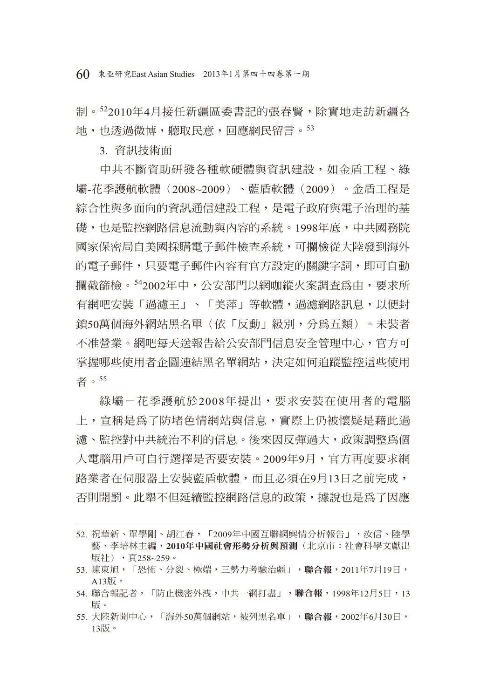60 東亞研究East Asian Studies 2013年1月第四十四卷第一期

制。522010年4月接任新疆區委書記的張春賢,除實地走訪新疆各 地,也透過微博,聽取民意,回應網民留言。<sup>53</sup>

3. 資訊技術面

中共不斷資助研發各種軟硬體與資訊建設,如金盾工程、綠 壩-花季護航軟體(2008~2009)、藍盾軟體(2009)。金盾工程是 綜合性與多面向的資訊通信建設工程,是電子政府與電子治理的基 礎,也是監控網路信息流動與內容的系統。1998年底,中共國務院 國家保密局自美國採購電子郵件檢查系統,可攔檢從大陸發到海外 的電子郵件,只要電子郵件內容有官方設定的關鍵字詞,即可自動 攔截篩檢。542002年中,公安部門以網咖縱火案調查為由,要求所 有網吧安裝「過濾王」、「美萍」等軟體,過濾網路訊息,以便封 鎖50萬個海外網站黑名單(依「反動」級別,分為五類)。未裝者 不准營業。網吧每天送報告給公安部門信息安全管理中心,官方可 掌握哪些使用者企圖連結黑名單網站,決定如何追蹤監控這些使用 者。<sup>55</sup>

綠壩–花季護航於2008年提出,要求安裝在使用者的雷腦 上,宣稱是為了防堵色情網站與信息,實際上仍被懷疑是藉此過 濾、監控對中共統治不利的信息。後來因反彈過大,政策調整為個 人電腦用戶可自行選擇是否要安裝。2009年9月,官方再度要求網 路業者在伺服器上安裝藍盾軟體,而且必須在9月13日之前完成, 否則開罰。此舉不但延續監控網路信息的政策,據說也是為了因應

55. 大陸新聞中心,「海外50萬個網站,被列黑名單」,聯合報,2002年6月30日, 13版。

<sup>52.</sup> 祝華新、單學剛、胡江春,「2009年中國互聯網輿情分析報告」,汝信、陸學 藝、李培林主編,**2010**年中國社會形勢分析與預測(北京市:社會科學文獻出 版社),頁258~259。

<sup>53.</sup> 陳東旭,「恐怖、分裂、極端,三勢力考驗治疆」,聯合報,2011年7月19日, A13版。

<sup>54.</sup> 聯合報記者,「防止機密外洩,中共一網打盡」,聯合報,1998年12月5日,13 版。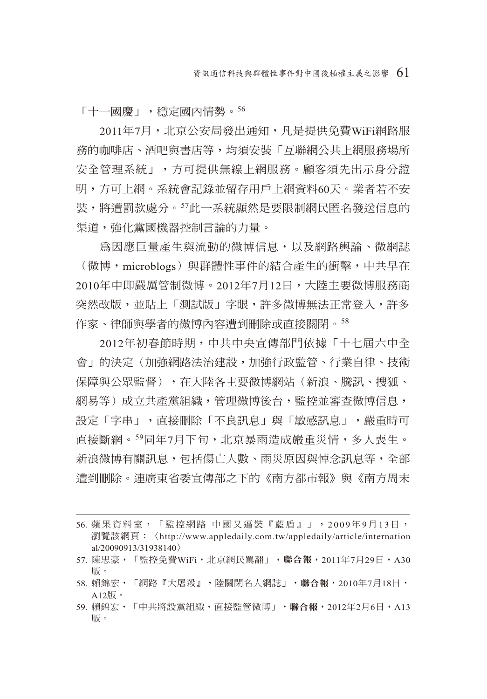「十一國慶」,穩定國內情勢。<sup>56</sup>

2011年7月,北京公安局發出通知,凡是提供免費WiFi網路服 務的咖啡店、酒吧與書店等,均須安裝「互聯網公共上網服務場所 安全管理系統」,方可提供無線上網服務。顧客須先出示身分證 明,方可上網。系統會記錄並留存用戶上網資料60天。業者若不安 裝,將遭罰款處分。57此一系統顯然是要限制網民匿名發送信息的 渠道,強化黨國機器控制言論的力量。

為因應巨量產生與流動的微博信息,以及網路輿論、微網誌 (微博,microblogs)與群體性事件的結合產生的衝擊,中共早在 2010年中即嚴厲管制微博。2012年7月12日,大陸主要微博服務商 突然改版,並貼上「測試版」字眼,許多微博無法正常登入,許多 作家、律師與學者的微博內容遭到刪除或直接關閉。58

2012年初春節時期,中共中央宣傳部門依據「十七屆六中全 會」的決定(加強網路法治建設,加強行政監管、行業自律、技術 保障與公眾監督),在大陸各主要微博網站(新浪、騰訊、搜狐、 網易等)成立共產黨組織,管理微博後台,監控並審查微博信息, 設定「字串」,直接刪除「不良訊息」與「敏感訊息」,嚴重時可 直接斷網。<sup>59</sup>同年7月下旬,北京暴雨造成嚴重災情,多人喪生。 新浪微博有關訊息,包括傷亡人數、雨災原因與悼念訊息等,全部 遭到刪除。連廣東省委宣傳部之下的《南方都市報》與《南方周末

- 57. 陳思豪,「監控免費WiFi,北京網民罵翻」,聯合報, 2011年7月29日, A30 版。
- 58. 賴錦宏,「網路『大屠殺』,陸關閉名人網誌」,聯合報, 2010年7月18日, A12版。
- 59. 賴錦宏,「中共將設黨組織,直接監管微博」,聯合報,2012年2月6日,A13 版。

<sup>56.</sup> 蘋果資料室,「監控網路 中國又逼裝『藍盾』」,2009年9月13日, 瀏覽該網頁:〈http://www.appledaily.com.tw/appledaily/article/internation al/20090913/31938140〉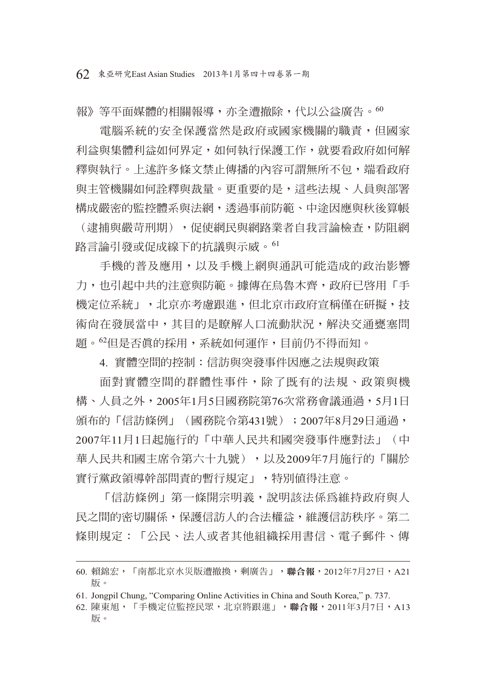報》等平面媒體的相關報導,亦全遭撤除,代以公益廣告。<sup>60</sup>

**雷腦系統的安全保護當然是政府或國家機關的職責,但國家** 利益與集體利益如何界定,如何執行保護工作,就要看政府如何解 釋與執行。上述許多條文禁止傳播的內容可謂無所不包,端看政府 與主管機關如何詮釋與裁量。更重要的是,這些法規、人員與部署 構成嚴密的監控體系與法網,透過事前防範、中途因應與秋後算帳 (逮捕與嚴苛刑期),促使網民與網路業者自我言論檢查,防阻網

路言論引發或促成線下的抗議與示威。<sup>61</sup>

手機的普及應用,以及手機上網與通訊可能造成的政治影響 力,也引起中共的注意與防節。據傳在烏魯木齊,政府已啓用「手 機定位系統」,北京亦考慮跟進,但北京市政府宣稱僅在研擬,技 術尚在發展當中,其目的是瞭解人口流動狀況,解決交通甕塞問 題。62但是否真的採用,系統如何運作,目前仍不得而知。

4. 實體空間的控制:信訪與突發事件因應之法規與政策

面對實體空間的群體性事件,除了既有的法規、政策與機 構、人員之外,2005年1月5日國務院第76次常務會議通過,5月1日 頒布的「信訪條例」(國務院令第431號);2007年8月29日通過, 2007年11月1日起施行的「中華人民共和國突發事件應對法」(中 華人民共和國主席令第六十九號),以及2009年7月施行的「關於 實行黨政領導幹部問責的暫行規定」,特別值得注意。

「信訪條例」第一條開宗明義,說明該法係為維持政府與人 民之間的密切關係,保護信訪人的合法權益,維護信訪秩序。第二 條則規定:「公民、法人或者其他組織採用書信、電子郵件、傳

<sup>60.</sup> 賴錦宏,「南都北京水災版遭撤換,剩廣告」,聯合報,2012年7月27日,A21 版。

<sup>61.</sup> Jongpil Chung, "Comparing Online Activities in China and South Korea," p. 737.

<sup>62.</sup> 陳東旭,「手機定位監控民眾,北京將跟進」,聯合報,2011年3月7日,A13 版。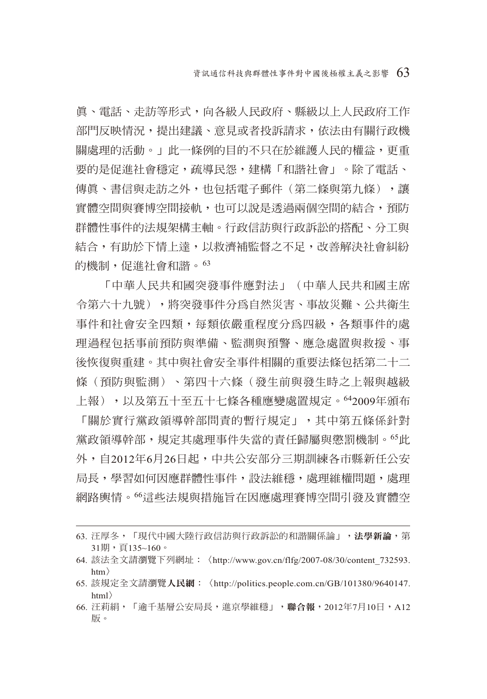真、電話、走訪等形式,向各級人民政府、縣級以上人民政府工作 部門反映情況,提出建議、意見或者投訴請求,依法由有關行政機 關處理的活動。」此一條例的目的不只在於維護人民的權益,更重 要的是促進社會穩定,疏導民怨,建構「和諧社會」。除了電話、 傳眞、書信與走訪之外,也包括雷子郵件(第二條與第九條),讓 實體空間與賽博空間接軌,也可以說是透過兩個空間的結合,預防 群體性事件的法規架構主軸。行政信訪與行政訴訟的搭配、分工與 結合,有助於下情上達,以救濟補監督之不足,改善解決社會糾紛 的機制,促進社會和諧。<sup>63</sup>

「中華人民共和國突發事件應對法」(中華人民共和國主席 令第六十九號),將突發事件分為自然災害、事故災難、公共衛生 事件和社會安全四類,每類依嚴重程度分為四級,各類事件的處 理過程包括事前預防與準備、監測與預警、應急處置與救援、事 後恢復與重建。其中與社會安全事件相關的重要法條包括第二十二 條(預防與監測)、第四十六條(發生前與發生時之上報與越級 上報),以及第五十至五十七條各種應變處置規定。642009年頒布 「關於實行黨政領導幹部問責的暫行規定」,其中第五條係針對 黨政領導幹部,規定其處理事件失當的責任歸屬與懲罰機制。<sup>65</sup>此 外,自2012年6月26日起,中共公安部分三期訓練各市縣新任公安 局長,學習如何因應群體性事件,設法維穩,處理維權問題,處理 網路輿情。<sup>66</sup>這些法規與措施旨在因應處理賽博空間引發及實體空

<sup>63.</sup> 汪厚冬, 「現代中國大陸行政信訪與行政訴訟的和諧關係論」, 法學新論,第  $31$ 期, 頁 $135~160$ 。

<sup>64.</sup> 該法全文請瀏覽下列網址:〈http://www.gov.cn/flfg/2007-08/30/content\_732593. htm〉

<sup>65.</sup> 該規定全文請瀏覽人民網:〈http://politics.people.com.cn/GB/101380/9640147. html〉

<sup>66.</sup> 汪莉絹,「逾千基層公安局長,進京學維穩」,聯合報,2012年7月10日,A12 版。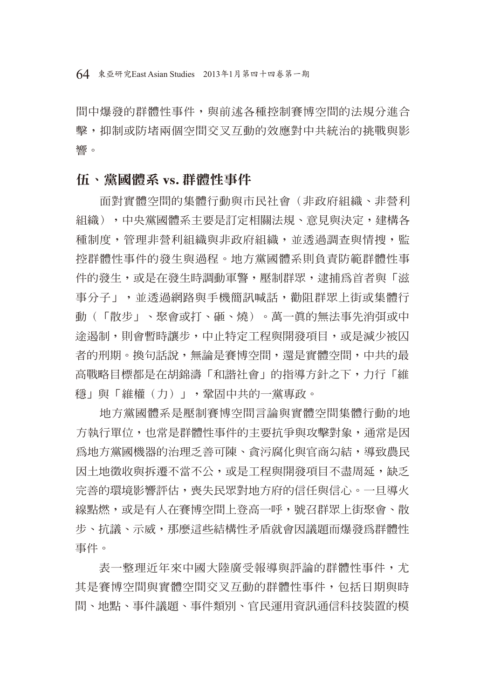間中爆發的群體性事件,與前述各種控制賽博空間的法規分進合 擊,抑制或防堵兩個空間交叉互動的效應對中共統治的挑戰與影 響。

## 伍、黨國體系 **vs.** 群體性事件

面對實體空間的集體行動與市民社會(非政府組織、非營利 組織),中央黨國體系主要是訂定相關法規、意見與決定,建構各 種制度,管理非營利組織與非政府組織,並透過調查與情搜,監 控群體性事件的發生與過程。地方黨國體系則負責防範群體性事 件的發生,或是在發生時調動軍警,壓制群眾,逮捕為首者與「滋 事分子」,並透過網路與手機簡訊喊話,勸阻群眾上街或集體行 動(「散步」、聚會或打、砸、燒)。萬一真的無法事先消弭或中 途遏制,則會暫時讓步,中止特定工程與開發項目,或是減少被囚 者的刑期。換句話說,無論是賽博空間,還是實體空間,中共的最 高戰略目標都是在胡錦濤「和諧社會」的指導方針之下,力行「維 穩」與「維權(力)」,鞏固中共的一黨專政。

地方黨國體系是壓制賽博空間言論與實體空間集體行動的地 方執行單位,也常是群體性事件的主要抗爭與攻擊對象,涌常是因 為地方黨國機器的治理乏善可陳、貪污腐化與官商勾結,導致農民 因土地徵收與拆遷不當不公,或是工程與開發項目不盡周延,缺乏 完善的環境影響評估,喪失民眾對地方府的信任與信心。一旦導火 線點燃,或是有人在賽博空間上登高一呼,號召群眾上街聚會、散 步、抗議、示威,那麼這些結構性矛盾就會因議題而爆發為群體性 事件。

表一整理沂年來中國大陸廣受報導與評論的群體性事件,尤 其是賽博空間與實體空間交叉互動的群體性事件,包括日期與時 間、地點、事件議題、事件類別、官民運用資訊通信科技裝置的模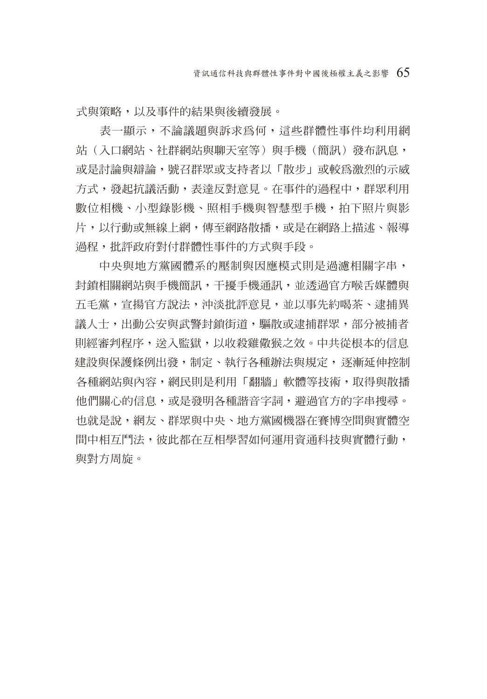式與策略,以及事件的結果與後續發展。

表一顯示,不論議題與訴求為何,這些群體性事件均利用網 站(入口網站、社群網站與聊天室等)與手機(簡訊)發布訊息, 或是討論與辯論,號召群眾或支持者以「散步」或較為激烈的示威 方式,發起抗議活動,表達反對意見。在事件的過程中,群眾利用 數位相機、小型錄影機、照相手機與智慧型手機,拍下照片與影 片,以行動或無線上網,傳至網路散播,或是在網路上描述、報導 過程,批評政府對付群體性事件的方式與手段。

中央與地方黨國體系的壓制與因應模式則是過濾相關字串, 封鎖相關網站與手機簡訊,干擾手機通訊,並透過官方喉舌媒體與 五毛黨,宣揚官方說法,沖淡批評意見,並以事先約喝茶、逮捕異 議人士,出動公安與武警封鎖街道,驅散或逮捕群眾,部分被捕者 則經審判程序,送入監獄,以收殺雞儆猴之效。中共從根本的信息 建設與保護條例出發,制定、執行各種辦法與規定,逐漸延伸控制 各種網站與內容,網民則是利用「翻牆」軟體等技術,取得與散播 他們關心的信息,或是發明各種諧音字詞,避過官方的字串搜尋。 也就是說,網友、群眾與中央、地方黨國機器在賽博空間與實體空 間中相互鬥法,彼此都在互相學習如何運用資通科技與實體行動, 與對方周旋。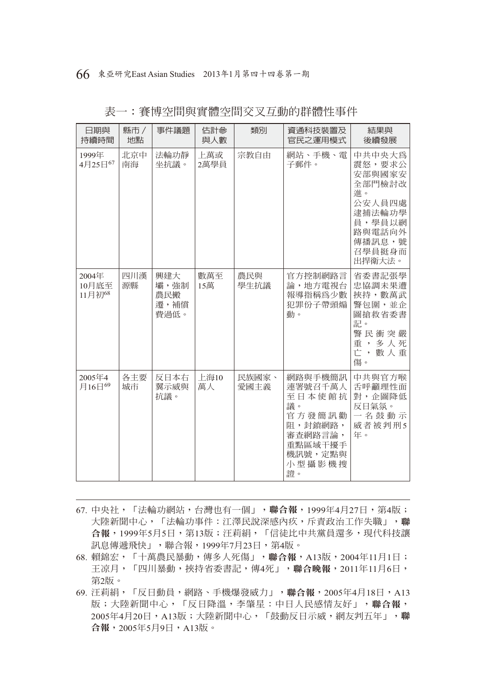| 日期與<br>持續時間              | 縣市 /<br>地點 | 事件議題                               | 估計參<br>與人數  | 類別            | 資通科技裝置及<br>官民之運用模式                                                                                       | 結果與<br>後續發展                                                                                                      |
|--------------------------|------------|------------------------------------|-------------|---------------|----------------------------------------------------------------------------------------------------------|------------------------------------------------------------------------------------------------------------------|
| 1999年<br>4月25日67         | 北京中<br>南海  | 法輪功靜<br>坐抗議。                       | 上萬或<br>2萬學員 | 宗教自由          | 網站、手機、電<br>子郵件。                                                                                          | 中共中央大為<br>震怒,要求公<br>安部與國家安<br>全部門檢討改<br>進。<br>公安人員四處<br>逮捕法輪功學<br>員,學員以網<br>路與電話向外<br>傳播訊息,號<br>召學員挺身而<br>出捍衛大法。 |
| 2004年<br>10月底至<br>11月初68 | 四川漢<br>源縣  | 興建大<br>壩,強制<br>農民搬<br>遷,補償<br>費過低。 | 數萬至<br>15萬  | 農民與<br>學生抗議   | 官方控制網路言<br>論,地方電視台<br>報導指稱為少數<br>犯罪份子帶頭煽<br>動。                                                           | 省委書記張學<br>忠協調未果遭<br>挾持, 數萬武<br>警包圍,並企<br>圖搶救省委書<br>記。<br>警民衝突嚴<br>重,多人死<br>亡,數人重<br>傷。                           |
| 2005年4<br>月16日69         | 各主要<br>城市  | 反日本右<br>翼示威與<br>抗議。                | 上海10<br>萬人  | 民族國家、<br>愛國主義 | 網路與手機簡訊<br>連署號召千萬人<br>至日本使館抗<br>議。<br>官方發簡訊勸<br>阻,封鎖網路,<br>審查網路言論,<br>重點區域干擾手<br>機訊號,定點與<br>小型攝影機搜<br>證。 | 中共與官方喉<br>舌呼籲理性面<br>對,企圖降低<br>反日氣氛。<br>一名鼓動示<br>威者被判刑5<br>年。                                                     |

表一:賽博空間與實體空間交叉互動的群體性事件

- 67. 中央社,「法輪功網站,台灣也有一個」,聯合報,1999年4月27日,第4版; 大陸新聞中心,「法輪功事件:江澤民說深感內疚,斥責政治工作失職」,聯 合報,1999年5月5日,第13版;汪莉絹,「信徒比中共黨員還多,現代科技讓 訊息傳遞飛快」,聯合報,1999年7月23日,第4版。
- 68. 賴錦宏,「十萬農民暴動,傳多人死傷」,聯合報,A13版,2004年11月1日; 王凉月,「四川暴動,挾持省委書記,傳4死」,聯合晚報,2011年11月6日, 第2版。
- 69. 汪莉絹,「反日動員,網路、手機爆發威力」,聯合報,2005年4月18日,A13 版;大陸新聞中心,「反日降溫,李肇星:中日人民感情友好」,聯合報, 2005年4月20日,A13版;大陸新聞中心,「鼓動反日示威,網友判五年」,聯 合報,2005年5月9日,A13版。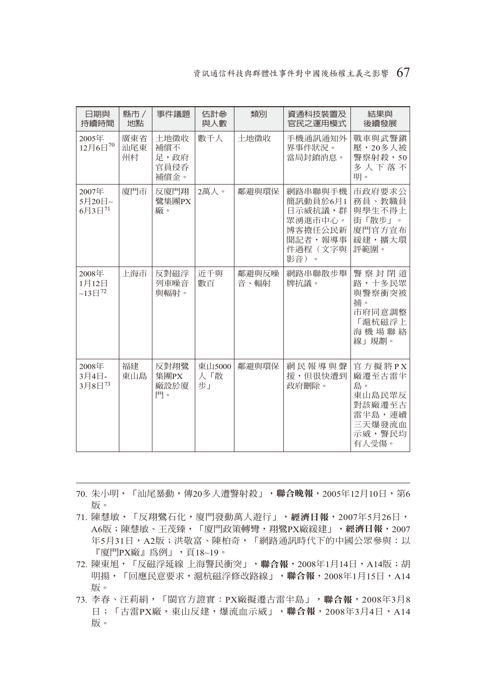#### 資訊通信科技與群體性事件對中國後極權主義之影響 67

| 日期與<br>持續時間                             | 縣市 /<br>地點       | 事件議題                                | 估計參<br>與人數          | 類別            | 資通科技裝置及<br>官民之運用模式                                                                 | 結果與<br>後續發展                                                                        |
|-----------------------------------------|------------------|-------------------------------------|---------------------|---------------|------------------------------------------------------------------------------------|------------------------------------------------------------------------------------|
| 2005年<br>12月6日70                        | 廣東省<br>汕尾東<br>州村 | 土地徵收<br>補償不<br>足,政府<br>官員侵呑<br>補償金。 | 數千人                 | 土地徵收          | 手機通訊通知外<br>界事件狀況。<br>當局封銷消息。                                                       | 戰車與武警鎮<br>壓,20多人被<br>警察射殺,50<br>多人下落不<br>明。                                        |
| 2007年<br>5月20日~<br>$6731^{71}$          | 廈門市              | 反廈門翔<br>鷺集團PX<br>廠。                 | 2萬人。                | 鄰澼與環保         | 網路串聯與手機<br>簡訊動員於6月1<br>日示威抗議,群<br>眾湧進市中心。<br>博客擔任公民新<br>聞記者,報導事<br>件過程(文字與<br>影音)。 | 市政府要求公<br>務員、教職員<br>與學生不得上<br>街「散步」。<br>廈門官方宣布<br>緩建,擴大環<br>評範圍。                   |
| 2008年<br>1月12日<br>$~13 \text{ } H^{72}$ | 上海市              | 反對磁浮<br>列車噪音<br>與輻射。                | 沂千與<br>數百           | 鄰澼與反噪<br>音、輻射 | 網路串聯散步舉<br>牌抗議。                                                                    | 警察封閉道<br>路,十多民眾<br>與警察衝突被<br>捕。<br>市府同意調整<br>「滬杭磁浮上<br>海機場聯絡<br>線」規劃。              |
| 2008年<br>3月4日-<br>3月8日73                | 福建<br>東山島        | 反對翔鷺<br>集團PX<br>廠設於廈<br>門。          | 東山5000<br>人「散<br>步」 | 鄰澼與環保         | 網民報導與聲<br>援,但很快遭到<br>政府刪除。                                                         | 官方擬將PX<br>廠遷至古雷半<br>鳥。<br>東山島民眾反<br>對該廠遷至古<br>雷半島,連續<br>三天爆發流血<br>示威, 警民均<br>有人受傷。 |

- 70. 朱小明,「汕尾暴動,傳20多人遭警射殺」,聯合晚報,2005年12月10日,第6 版。
- 71. 陳慧敏,「反翔鷺石化,廈門發動萬人遊行」,經濟日報,2007年5月26日, A6版;陳慧敏、王茂臻,「廈門政策轉彎,翔鷺PX廠緩建」,經濟日報,2007 年5月31日,A2版;洪敬富、陳柏奇,「網路通訊時代下的中國公眾參與:以  $\lceil \frac{1}{2} \rceil^2$ PX廠』為例」,頁18~19。
- 72. 陳東旭,「反磁浮延線 上海警民衝突」,聯合報, 2008年1月14日, A14版;胡 明揚,「回應民意要求,滬杭磁浮修改路線」,聯合報,2008年1月15日,A14 版。
- 73. 李春、汪莉絹,「閩官方證實:PX廠擬遷古雷半島」,聯合報,2008年3月8 日;「古雷PX廠,東山反建,爆流血示威」,聯合報,2008年3月4日,A14 版。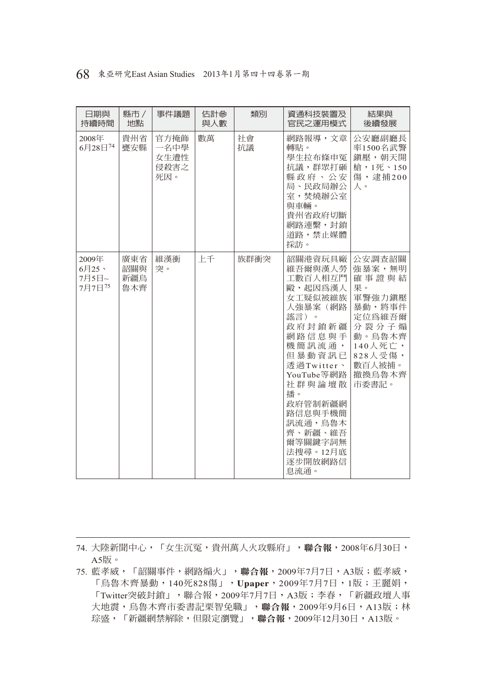|  | 68 東亞研究East Asian Studies 2013年1月第四十四卷第一期 |  |  |  |
|--|-------------------------------------------|--|--|--|
|--|-------------------------------------------|--|--|--|

| 日期與<br>持續時間                          | 縣市/<br>地點                | 事件議題                                | 估計參<br>與人數 | 類別       | 資通科技裝置及<br>官民之運用模式                                                                                                                                                                                                                               | 結果與<br>後續發展                                                                                                                         |
|--------------------------------------|--------------------------|-------------------------------------|------------|----------|--------------------------------------------------------------------------------------------------------------------------------------------------------------------------------------------------------------------------------------------------|-------------------------------------------------------------------------------------------------------------------------------------|
| 2008年<br>6月28日74                     | 貴州省<br>甕安縣               | 官方掩飾<br>一名中學<br>女生遭性<br>侵殺害之<br>死因。 | 數萬         | 社會<br>抗議 | 網路報導,文章<br>轉貼。<br>學生拉布條申冤<br>抗議,群眾打砸<br>縣政府、公安<br>局、民政局辦公<br>室,焚燒辦公室<br>與車輛。<br>貴州省政府切斷<br>網路連繫,封鎖<br>道路,禁止媒體<br>採訪。                                                                                                                             | 公安廳副廳長<br>率1500名武警<br>鎭壓,朝天開<br>槍,1死、150<br>傷,逮捕200<br>人。                                                                           |
| 2009年<br>$6$ 月25、<br>7月5日~<br>7月7日75 | 廣東省<br>韶關與<br>新疆鳥<br>魯木齊 | 維漢衝<br>突。                           | 上千         | 族群衝突     | 韶關港資玩具廠<br>維吾爾與漢人勞<br>工數百人相互鬥<br>毆,起因為漢人<br>女工疑似被維族<br>人強暴案(網路<br>謠言)。<br>政府封銷新疆<br>網路信息與手<br>機簡訊流通,<br>但暴動資訊已<br>诱過Twitter、<br>YouTube等網路<br>社群與論壇散<br>播。<br>政府管制新疆網<br>路信息與手機簡<br>訊流通,鳥魯木<br>齊、新疆、維吾<br>爾等關鍵字詞無<br>法搜尋。12月底<br>逐步開放網路信<br>息流通。 | 公安調查韶關<br>強暴案,無明<br>確事證與結<br>果。<br>軍警強力鎭壓<br>暴動,將事件<br>定位為維吾爾<br>分裂分子煽<br>動。鳥魯木齊<br>140人死亡,<br>828人受傷,<br>數百人被捕。<br>撤換鳥魯木齊<br>市委書記。 |

74. 大陸新聞中心,「女生沉冤,貴州萬人火攻縣府」,聯合報,2008年6月30日, A5版。

<sup>75.</sup> 藍孝威,「韶關事件,網路煽火」,聯合報,2009年7月7日,A3版;藍孝威, 「烏魯木齊暴動,140死828傷」,**Upaper**,2009年7月7日,1版;王麗娟, 「Twitter突破封鎖」,聯合報,2009年7月7日,A3版;李春,「新疆政壇人事 大地震,烏魯木齊市委書記栗智免職」,聯合報,2009年9月6日,A13版;林 琮盛,「新疆網禁解除,但限定瀏覽」,聯合報,2009年12月30日,A13版。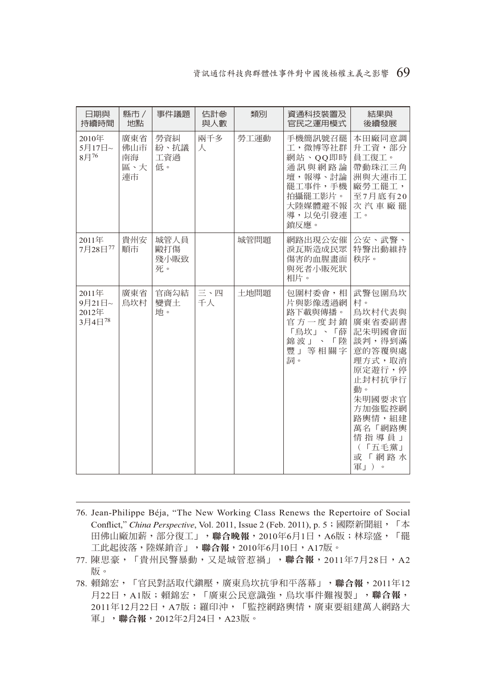#### 資訊通信科技與群體性事件對中國後極權主義之影響 69

| 日期與<br>持續時間                          | 縣市 /<br>地點                    | 事件議題                      | 估計參<br>與人數 | 類別   | 資通科技裝置及<br>官民之運用模式                                                                                     | 結果與<br>後續發展                                                                                                                                                                     |
|--------------------------------------|-------------------------------|---------------------------|------------|------|--------------------------------------------------------------------------------------------------------|---------------------------------------------------------------------------------------------------------------------------------------------------------------------------------|
| 2010年<br>5月17日~<br>$8 \text{H}^{76}$ | 廣東省<br>佛山市<br>南海<br>區、大<br>連市 | 勞資糾<br>紛、抗議<br>工資過<br>低。  | 兩千多<br>人   | 勞工運動 | 手機簡訊號召罷<br>工,微博等社群<br>網站、OO即時<br>通訊與網路論<br>壇,報導、討論<br>罷工事件,手機<br>拍攝罷工影片。<br>大陸媒體避不報<br>導,以免引發連<br>銷反應。 | 本田廠同意調<br>升工資,部分<br>員工復工。<br>帶動珠江三角<br>洲與大連市工<br>廠勞工罷工,<br>至7月底有20<br>次汽車廠罷<br>工。                                                                                               |
| 2011年<br>7月28日77                     | 貴州安<br>順市                     | 城管人員<br>毆打傷<br>殘小販致<br>死。 |            | 城管問題 | 網路出現公安催<br>淚瓦斯造成民眾<br>傷害的血腥畫面<br>與死者小販死狀<br>相片。                                                        | 公安、武警、<br>特警出動維持<br>秩序。                                                                                                                                                         |
| 2011年<br>9月21日~<br>2012年<br>3月4日78   | 庸東省<br>鳥坎村                    | 官商勾結<br>變賣土<br>地。         | 三、四<br>千人  | 土地問題 | 包圍村委會,相<br>片與影像透過網<br>路下載與傳播。<br>官方一度封鎖<br>「鳥坎」、「薛<br>錦波」、「陸<br>豐」等相關字<br>詞。                           | 武警句圍鳥坎<br>村。<br>烏坎村代表與<br>廣東省委副書<br>記朱明國會面<br>談判,得到滿<br>意的答覆與處<br>理方式,取消<br>原定游行,停<br>止封村抗争行<br>動。<br>朱明國要求官<br>方加強監控網<br>路輿情, 組建<br>萬名「網路輿<br>情指導員」<br>(「五毛黨」<br>或「網路水<br>軍」)。 |

- 76. Jean-Philippe Béja, "The New Working Class Renews the Repertoire of Social Conflict," *China Perspective*, Vol. 2011, Issue 2 (Feb. 2011), p. 5; 國際新聞組, 「本 田佛山廠加薪,部分復工」,聯合晚報,2010年6月1日,A6版;林琮盛,「罷 工此起彼落,陸媒銷音」,聯合報,2010年6月10日,A17版。
- 77. 陳思豪,「貴州民警暴動,又是城管惹禍」,聯合報, 2011年7月28日, A2 版。
- 78. 賴錦宏,「官民對話取代鎮壓,廣東烏坎抗爭和平落幕」,聯合報,2011年12 月22日, A1版;賴錦宏,「廣東公民意識強, 烏坎事件難複製」,聯合報, 2011年12月22日, A7版;羅印沖,「監控網路輿情,廣東要組建萬人網路大 軍」,聯合報, 2012年2月24日, A23版。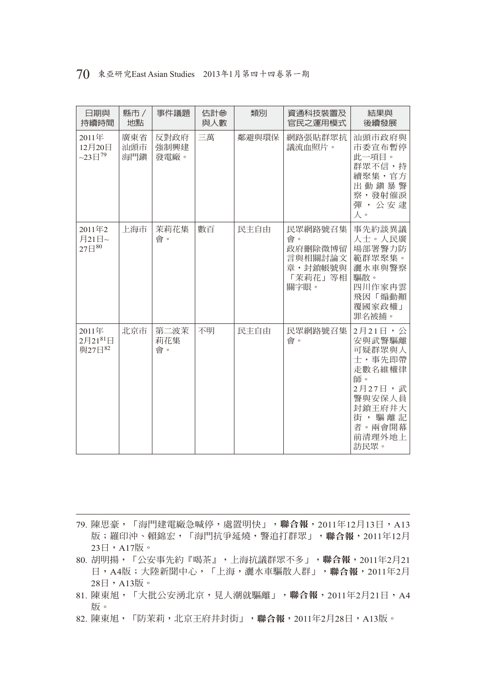| 70 東亞研究East Asian Studies 2013年1月第四十四卷第一期 |  |
|-------------------------------------------|--|
|-------------------------------------------|--|

| 日期與<br>持續時間                            | 縣市 /<br>地點        | 事件議題                 | 估計參<br>與人數 | 類別    | 資通科技裝置及<br>官民之運用模式                                                | 結果與<br>後續發展                                                                                                               |
|----------------------------------------|-------------------|----------------------|------------|-------|-------------------------------------------------------------------|---------------------------------------------------------------------------------------------------------------------------|
| 2011年<br>12月20日<br>$-23 \boxplus^{79}$ | 廣東省<br>汕頭市<br>海門鎮 | 反對政府<br>強制興建<br>發電廠。 | 三萬         | 鄰澼與環保 | 網路張貼群眾抗<br>議流血照片。                                                 | 汕頭市政府與<br>市委宣布暫停<br>此一項目。<br>群眾不信,持<br>續聚集,官方<br>出動鎮暴警<br>察,發射催淚<br>彈,公安逮<br>人。                                           |
| 2011年2<br>月21日~<br>27日80               | 上海市               | 茉莉花集<br>會。           | 數百         | 民主自由  | 民眾網路號召集<br>會。<br>政府刪除微博留<br>言與相關討論文<br>章,封鎖帳號與<br>「茉莉花」等相<br>關字眼。 | 事先約談異議<br>人士。人民廣<br>場部署警力防<br>範群眾聚集。<br>灑水車與警察<br>驅散。<br>四川作家冉雲<br>飛因「煽動顛<br>覆國家政權」<br>罪名被捕。                              |
| 2011年<br>2月2181日<br>與27日82             | 北京市               | 第二波茉<br>莉花集<br>會。    | 不明         | 民主自由  | 民眾網路號召集<br>會。                                                     | 2月21日,公<br>安與武警驅離<br>可疑群眾與人<br>士,事先即帶<br>走數名維權律<br>師。<br>2月27日,武<br>警與安保人員<br>封鎖王府井大<br>街,驅離記<br>者。兩會開幕<br>前清理外地上<br>訪民眾。 |

79. 陳思豪,「海門建電廠急喊停,處置明快」,聯合報,2011年12月13日,A13 版;羅印沖、賴錦宏,「海門抗爭延燒,警追打群眾」,聯合報,2011年12月 23日, A17版。

- 80. 胡明揚,「公安事先約『喝茶』,上海抗議群眾不多」,聯合報,2011年2月21 日, A4版; 大陸新聞中心, 「上海, 灑水車驅散人群」, 聯合報, 2011年2月 28日, A13版。
- 81. 陳東旭,「大批公安湧北京,見人潮就驅離」,聯合報,2011年2月21日,A4 版。
- 82. 陳東旭,「防茉莉,北京王府井封街」,聯合報,2011年2月28日,A13版。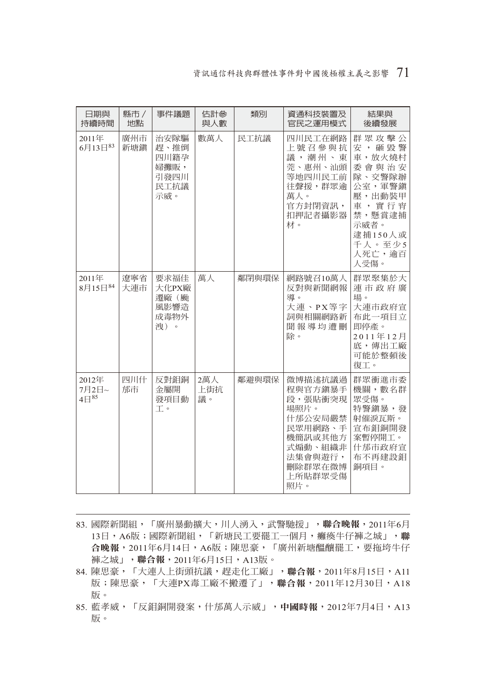#### 資訊通信科技與群體性事件對中國後極權主義之影響 71

| 日期與<br>持續時間                          | 縣市 /<br>地點 | 事件議題                                                | 估計參<br>與人數       | 類別    | 資通科技裝置及<br>官民之運用模式                                                                                                        | 結果與<br>後續發展                                                                                                                         |
|--------------------------------------|------------|-----------------------------------------------------|------------------|-------|---------------------------------------------------------------------------------------------------------------------------|-------------------------------------------------------------------------------------------------------------------------------------|
| 2011年<br>$6$ 月13日 $83$               | 廣州市<br>新塘鎮 | 治安隊驅<br>趕、推倒<br>四川籍孕<br>婦攤販,<br>引發四川<br>民工抗議<br>示威。 | 數萬人              | 民工抗議  | 四川民工在網路<br>上號召參與抗<br>議,潮州、東<br>莞、惠州、汕頭<br>等地四川民工前<br>往聲援,群眾逾<br>萬人。<br>官方封閉資訊,<br>扣押記者攝影器<br>材。                           | 群眾攻擊公<br>安, 砸毀警<br>車,放火燒村<br>委會與治安<br>隊、交警隊辦<br>公室,軍警鎮<br>壓,出動裝甲<br>車,實行宵<br>禁,懸賞逮捕<br>示威者。<br>逮捕150人或<br>千人。至少5<br>人死亡, 逾百<br>人受傷。 |
| 2011年<br>8月15日84                     | 遼寧省<br>大連市 | 要求福佳<br>大化PX廠<br>遷廠(颱<br>風影響浩<br>成毒物外<br>洩)。        | 萬人               | 鄰閉與環保 | 網路號召10萬人<br>反對與新聞網報<br>導。<br>大連、PX等字<br>詞與相關網路新<br>聞報導均遭刪<br>除。                                                           | 群眾聚集於大<br>連市政府廣<br>場。<br>大連市政府宣<br>布此一項目立<br>即停產。<br>2011年12月<br>底,傳出工廠<br>可能於整頓後<br>復工。                                            |
| 2012年<br>7月2日~<br>$4 \boxminus$ $85$ | 四川什<br>邡市  | 反對鉬銅<br>金屬開<br>發項目動<br>工。                           | 2萬人<br>上街抗<br>議。 | 鄰澼與環保 | 微博描述抗議過<br>程與官方鎭暴手<br>段,張貼衝突現<br>場照片。<br>什邡公安局嚴禁<br>民眾用網路、手<br>機簡訊或其他方<br>式煽動、組織非<br>法集會與遊行,<br>刪除群眾在微博<br>上所貼群眾受傷<br>照片。 | 群眾衝進市委<br>機關,數名群<br>眾受傷。<br>特警鎮暴,發<br>射催淚瓦斯。<br>宣布鉬銅開發<br>案暫停開工。<br>什邡市政府宣<br>布不再建設鉬<br>銅項目。                                        |

- 83. 國際新聞組,「廣州暴動擴大,川人湧入,武警馳援」,聯合晚報,2011年6月 13日, A6版;國際新聞組,「新塘民工要罷工一個月, 癱瘓牛仔褲之城」,聯 合晚報, 2011年6月14日, A6版;陳思豪,「廣州新塘醞釀罷工,要拖垮牛仔 褲之城」,聯合報,2011年6月15日,A13版。
- 84. 陳思豪, 「大連人上街頭抗議, 趕走化工廠」,聯合報, 2011年8月15日, A11 版;陳思豪,「大連PX毒工廠不搬遷了」,聯合報,2011年12月30日,A18 版。
- 85. 藍孝威,「反鉬銅開發案,什邡萬人示威」,中國時報, 2012年7月4日, A13 版。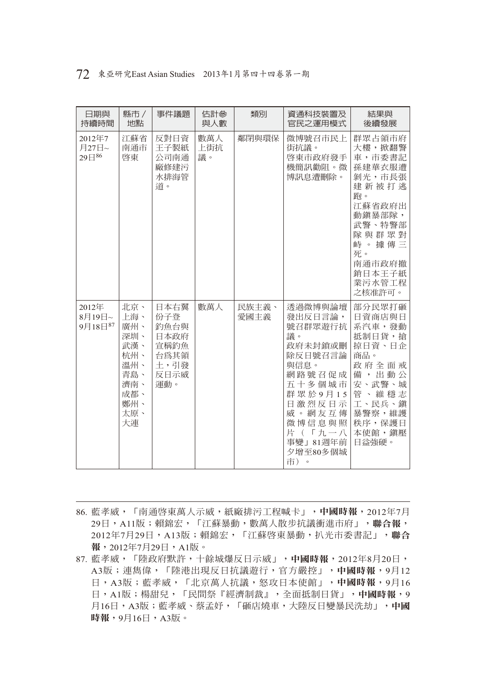| 72 東亞研究East Asian Studies 2013年1月第四十四卷第一期 |  |
|-------------------------------------------|--|
|-------------------------------------------|--|

| 日期與<br>持續時間                   | 縣市 /<br>地點                                                                             | 事件議題                                                               | 估計參<br>與人數       | 類別            | 資通科技裝置及<br>官民之運用模式                                                                                                                                                       | 結果與<br>後續發展                                                                                                                                                 |
|-------------------------------|----------------------------------------------------------------------------------------|--------------------------------------------------------------------|------------------|---------------|--------------------------------------------------------------------------------------------------------------------------------------------------------------------------|-------------------------------------------------------------------------------------------------------------------------------------------------------------|
| 2012年7<br>月27日~<br>$29E^{86}$ | 江蘇省<br>南通市<br>啓東                                                                       | 反對日資<br>王子製紙<br>公司南通<br>廠修建污<br>水排海管<br>道。                         | 數萬人<br>上街抗<br>議。 | 鄰閉與環保         | 微博號召市民上<br>街抗議。<br>啓東市政府發手<br>機簡訊勸阻。微<br>博訊息遭刪除。                                                                                                                         | 群眾占領市府<br>大樓,掀翻警<br>車,市委書記<br>孫建華衣服遭<br>剝光,市長張<br>建新被打逃<br>跑。<br>江蘇省政府出<br>動鎮暴部隊,<br>武警、特警部<br>隊與群眾對<br>峙。據傳三<br>死。<br>南通市政府撤<br>銷日本王子紙<br>業污水管工程<br>之核准許可。 |
| 2012年<br>8月19日~<br>9月18日87    | 北京、<br>上海、<br>廣州、<br>深圳、<br>武漢、<br>杭州、<br>溫州、<br>青島、<br>濟南、<br>成都、<br>鄭州、<br>太原、<br>大連 | 日本右翼<br>份子登<br>釣魚台與<br>日本政府<br>宣稱釣魚<br>台為其領<br>土,引發<br>反日示威<br>運動。 | 數萬人              | 民族主義、<br>愛國主義 | 透過微博與論壇<br>發出反日言論,<br>號召群眾遊行抗<br>議。<br>政府未封銷或刪<br>除反日號召言論<br>與信息。<br>網路號召促成<br>五十多個城市<br>群眾於9月15<br>日激烈反日示<br>威。網友互傳<br>微博信息與照<br>片 (「九一八<br>事變」81週年前<br>夕增至80多個城<br>市)。 | 部分民眾打砸<br>日資商店與日<br>系汽車,發動<br>抵制日貨,搶<br>掠日資、日企<br>商品。<br>政府全面戒<br>備,出動公<br>安、武警、城<br>管、維穩志<br>工、民兵、鎭<br>暴警察,維護<br>秩序,保護日<br>本使館, 鎮壓<br>日益強硬。                |

- 86. 藍孝威,「南通啓東萬人示威,紙廠排污工程喊卡」,中國時報, 2012年7月 29日, A11版; 賴錦宏, 「江蘇暴動, 數萬人散步抗議衝進市府」, 聯合報, 2012年7月29日,A13版;賴錦宏,「江蘇啓東暴動,扒光市委書記」,聯合 報,2012年7月29日,A1版。
- 87. 藍孝威,「陸政府默許,十餘城爆反日示威」,中國時報,2012年8月20日, A3版;連雋偉,「陸港出現反日抗議遊行,官方嚴控」,中國時報,9月12 日,A3版;藍孝威,「北京萬人抗議,怒攻日本使館」,中國時報,9月16 日, A1版; 楊甜兒, 「民間祭『經濟制裁』, 全面抵制日貨」, 中國時報, 9 月16日,A3版;藍孝威、蔡孟妤,「砸店燒車,大陸反日變暴民洗劫」,中國 時報,9月16日,A3版。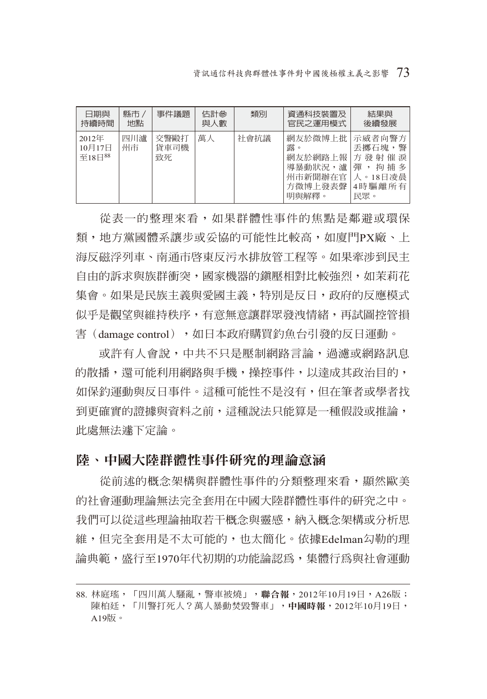| 日期與<br>持續時間                           | 縣市 /<br>地點 | 事件議題               | 估計參<br>與人數 | 類別   | 資通科技裝置及<br>官民之運用模式                                                                                            | 結果與<br>後續發展              |
|---------------------------------------|------------|--------------------|------------|------|---------------------------------------------------------------------------------------------------------------|--------------------------|
| 2012年<br>10月17日<br>至18日 <sup>88</sup> | 四川瀘<br>州市  | 交警毆打<br>貨車司機<br>致死 | 萬人         | 社會抗議 | 網友於微博上批 示威者向警方  <br>露。<br>網友於網路上報   方 發 射 催 淚  <br>導暴動狀況,瀘   彈 , 拘 捕 多<br>州市新聞辦在官 人。18日凌晨<br>方微博上發表聲<br>明與解釋。 | 丢擲石塊,警<br>4時驅離所有 <br>民眾。 |

從表一的整理來看,如果群體性事件的焦點是鄰避或環保 類,地方黨國體系讓步或妥協的可能性比較高,如廈門PX廠、上 海反磁浮列車、南通市啟東反污水排放管工程等。如果牽涉到民主 自由的訴求與族群衝突,國家機器的鎮壓相對比較強烈,如茉莉花 集會。如果是民族主義與愛國主義,特別是反日,政府的反應模式 似乎是觀望與維持秩序,有意無意讓群眾發洩情緒,再試圖控管損 害(damage control),如日本政府購買釣魚台引發的反日運動。

或許有人會說,中共不只是壓制網路言論,過濾或網路訊息 的散播,還可能利用網路與手機,操控事件,以達成其政治目的, 如保釣運動與反日事件。這種可能性不是沒有,但在筆者或學者找 到更確實的證據與資料之前,這種說法只能算是一種假設或推論, 此處無法遽下定論。

## 陸、中國大陸群體性事件研究的理論意涵

從前述的概念架構與群體性事件的分類整理來看,顯然歐美 的社會運動理論無法完全套用在中國大陸群體性事件的研究之中。 我們可以從這些理論抽取若干概念與靈感,納入概念架構或分析思 維,但完全套用是不太可能的,也太簡化。依據Edelman勾勒的理 論典範,盛行至1970年代初期的功能論認為,集體行為與社會運動

<sup>88.</sup> 林庭瑤,「四川萬人騷亂,警車被燒」,聯合報,2012年10月19日,A26版; 陳柏廷,「川警打死人?萬人暴動焚毀警車」,中國時報,2012年10月19日,  $A19H\bar{b}$ 。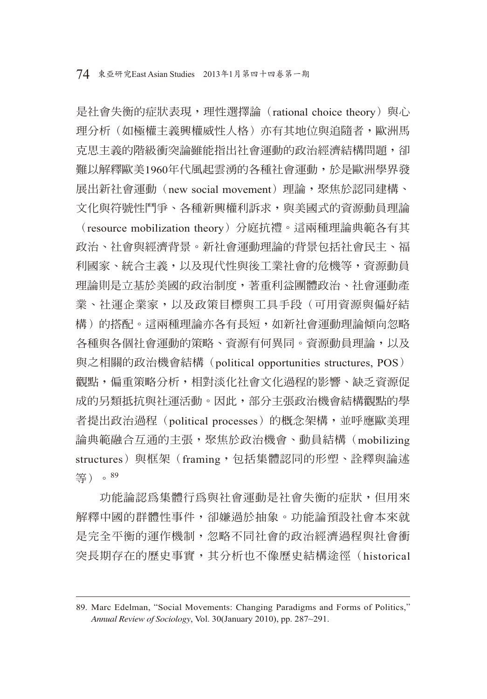是社會失衡的症狀表現,理性選擇論 (rational choice theory) 與心 理分析(如極權主義興權威性人格)亦有其地位與追隨者,歐洲馬 克思主義的階級衝突論雖能指出社會運動的政治經濟結構問題,卻 難以解釋歐美1960年代風起雲湧的各種社會運動,於是歐洲學界發 展出新社會運動 (new social movement) 理論,聚焦於認同建構、 文化與符號性鬥爭、各種新興權利訴求,與美國式的資源動員理論

(resource mobilization theory)分庭抗禮。這兩種理論典範各有其 政治、社會與經濟背景。新社會運動理論的背景包括社會民主、福 利國家、統合主義,以及現代性與後工業社會的危機等,資源動員 理論則是立基於美國的政治制度,著重利益團體政治、社會運動產 業、社運企業家,以及政策目標與工具手段(可用資源與偏好結 構)的搭配。這兩種理論亦各有長短,如新社會運動理論傾向忽略 各種與各個社會運動的策略、資源有何異同。資源動員理論,以及 與之相關的政治機會結構(political opportunities structures, POS) 觀點,偏重策略分析,相對淡化社會文化過程的影響、缺乏資源促 成的另類抵抗與社運活動。因此,部分主張政治機會結構觀點的學 者提出政治過程(political processes)的概念架構,並呼應歐美理 論典範融合互通的主張,聚焦於政治機會、動員結構(mobilizing structures)與框架(framing,包括集體認同的形塑、詮釋與論述 等)。<sup>89</sup>

功能論認為集體行為與社會運動是社會失衡的症狀,但用來 解釋中國的群體性事件,卻嫌過於抽象。功能論預設社會本來就 是完全平衡的運作機制,忽略不同社會的政治經濟過程與社會衝 突長期存在的歷史事實,其分析也不像歷史結構途徑(historical

<sup>89.</sup> Marc Edelman, "Social Movements: Changing Paradigms and Forms of Politics," *Annual Review of Sociology*, Vol. 30(January 2010), pp. 287~291.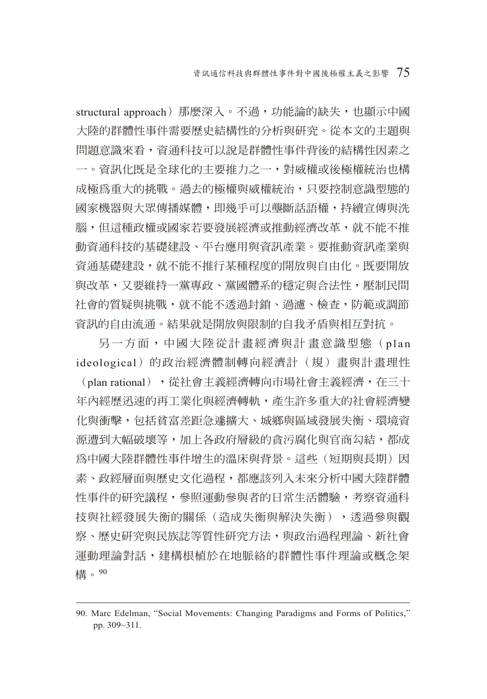structural approach)那麼深入。不過,功能論的缺失,也顯示中國 大陸的群體性事件需要歷史結構性的分析與研究。從本文的主題與 問題意識來看,資通科技可以說是群體性事件背後的結構性因素之 一。資訊化既是全球化的主要推力之一,對威權或後極權統治也構 成極為重大的挑戰。過去的極權與威權統治,只要控制意識型態的 國家機器與大眾傳播媒體,即幾乎可以壟斷話語權,持續宣傳與洗 腦,但這種政權或國家若要發展經濟或推動經濟改革,就不能不推 動資通科技的基礎建設、平台應用與資訊產業。要推動資訊產業與 資通基礎建設,就不能不推行某種程度的開放與自由化。既要開放 與改革,又要維持一黨專政、黨國體系的穩定與合法性,壓制民間 社會的質疑與挑戰,就不能不透過封鎖、過濾、檢查,防範或調節 資訊的自由流通。結果就是開放與限制的自我矛盾與相互對抗。

另一方面,中國大陸從計畫經濟與計畫意識型態(plan ideological)的政治經濟體制轉向經濟計(規)畫與計畫理性 (plan rational), 從社會主義經濟轉向市場社會主義經濟, 在三十 年內經歷迅速的再工業化與經濟轉軌,產生許多重大的社會經濟變 化與衝擊,包括貧富差距急遽擴大、城鄉與區域發展失衡、環境資 源遭到大幅破壞等,加上各政府層級的貪污腐化與官商勾結,都成 為中國大陸群體性事件增生的溫床與背景。這些(短期與長期)因 素、政經層面與歷史文化過程,都應該列入未來分析中國大陸群體 性事件的研究議程,參照運動參與者的日常生活體驗,考察資通科 技與社經發展失衡的關係(造成失衡與解決失衡),透過參與觀 察、歷史研究與民族誌等質性研究方法,與政治過程理論、新社會 運動理論對話,建構根植於在地脈絡的群體性事件理論或概念架 構。<sup>90</sup>

<sup>90.</sup> Marc Edelman, "Social Movements: Changing Paradigms and Forms of Politics," pp. 309~311.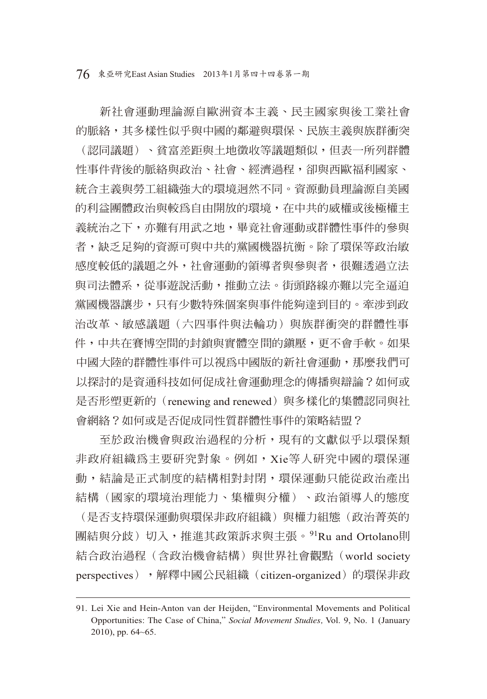76 東亞研究East Asian Studies 2013年1月第四十四卷第一期

新社會運動理論源自歐洲資本主義、民主國家與後工業社會 的脈絡,其多樣性似乎與中國的鄰避與環保、民族主義與族群衝突 (認同議題)、貧富差距與土地徵收等議題類似,但表一所列群體 性事件背後的脈絡與政治、社會、經濟過程,卻與西歐福利國家、 統合主義與勞工組織強大的環境迥然不同。資源動員理論源自美國 的利益團體政治與較為自由開放的環境,在中共的威權或後極權主 義統治之下,亦難有用武之地,畢竟社會運動或群體性事件的參與 者,缺乏足夠的資源可與中共的黨國機器抗衡。除了環保等政治敏 感度較低的議題之外,社會運動的領導者與參與者,很難透過立法 與司法體系,從事遊說活動,推動立法。街頭路線亦難以完全逼迫 黨國機器讓步,只有少數特殊個案與事件能夠達到目的。牽涉到政 治改革、敏感議題(六四事件與法輪功)與族群衝突的群體性事 件,中共在賽博空間的封鎖與實體空間的鎮壓,更不會手軟。如果 中國大陸的群體性事件可以視為中國版的新社會運動,那麼我們可 以探討的是資通科技如何促成社會運動理念的傳播與辯論?如何或 是否形塑更新的 (renewing and renewed) 與多樣化的集體認同與社 會網絡?如何或是否促成同性質群體性事件的策略結盟?

至於政治機會與政治過程的分析,現有的文獻似乎以環保類 非政府組織為主要研究對象。例如,Xie等人研究中國的環保運 動,結論是正式制度的結構相對封閉,環保運動只能從政治產出 結構(國家的環境治理能力、集權與分權)、政治領導人的態度 (是否支持環保運動與環保非政府組織)與權力組態(政治菁英的 團結與分歧)切入,推進其政策訴求與主張。<sup>91</sup>Ru and Ortolano則 結合政治過程(含政治機會結構)與世界社會觀點(world society perspectives), 解釋中國公民組織 (citizen-organized)的環保非政

<sup>91.</sup> Lei Xie and Hein-Anton van der Heijden, "Environmental Movements and Political Opportunities: The Case of China," *Social Movement Studies,* Vol. 9, No. 1 (January 2010), pp. 64~65.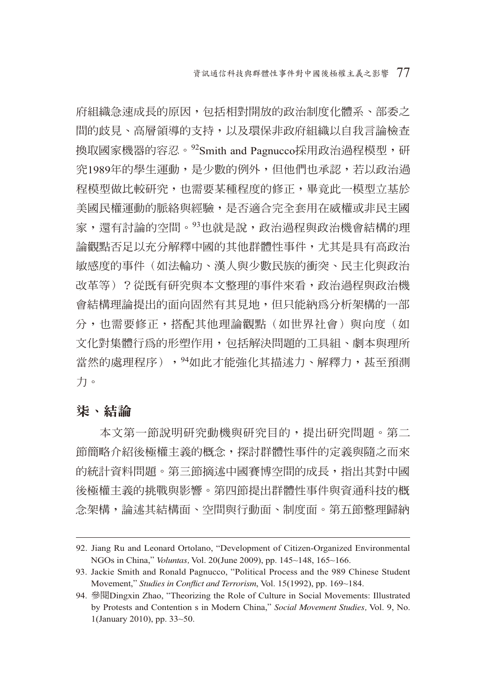府組織急速成長的原因,包括相對開放的政治制度化體系、部委之 間的歧見、高層領導的支持,以及環保非政府組織以自我言論檢查 換取國家機器的容忍。92Smith and Pagnucco採用政治過程模型,研 究1989年的學生運動,是少數的例外,但他們也承認,若以政治過 程模型做比較研究,也需要某種程度的修正,畢竟此一模型立基於 美國民權運動的脈絡與經驗,是否適合完全套用在威權或非民主國 家,還有討論的空間。93也就是說,政治過程與政治機會結構的理 論觀點否足以充分解釋中國的其他群體性事件,尤其是具有高政治 敏感度的事件(如法輪功、漢人與少數民族的衝突、民主化與政治 改革等)?從既有研究與本文整理的事件來看,政治過程與政治機 會結構理論提出的面向固然有其見地,但只能納為分析架構的一部 分,也需要修正,搭配其他理論觀點(如世界社會)與向度(如 文化對集體行為的形塑作用,包括解決問題的工具組、劇本與理所 當然的處理程序), <sup>94</sup>如此才能強化其描述力、解釋力, 甚至預測 力。

### 柒、結論

本文第一節說明研究動機與研究目的,提出研究問題。第二 節簡略介紹後極權主義的概念,探討群體性事件的定義與隨之而來 的統計資料問題。第三節摘述中國賽博空間的成長,指出其對中國 後極權主義的挑戰與影響。第四節提出群體性事件與資通科技的概 念架構,論述其結構面、空間與行動面、制度面。第五節整理歸納

<sup>92.</sup> Jiang Ru and Leonard Ortolano, "Development of Citizen-Organized Environmental NGOs in China," *Voluntas,* Vol. 20(June 2009), pp. 145~148, 165~166.

<sup>93.</sup> Jackie Smith and Ronald Pagnucco, "Political Process and the 989 Chinese Student Movement," Studies in Conflict and Terrorism, Vol. 15(1992), pp. 169~184.

<sup>94.</sup> 參閱Dingxin Zhao, "Theorizing the Role of Culture in Social Movements: Illustrated by Protests and Contention s in Modern China," *Social Movement Studies,* Vol. 9, No. 1(January 2010), pp. 33~50.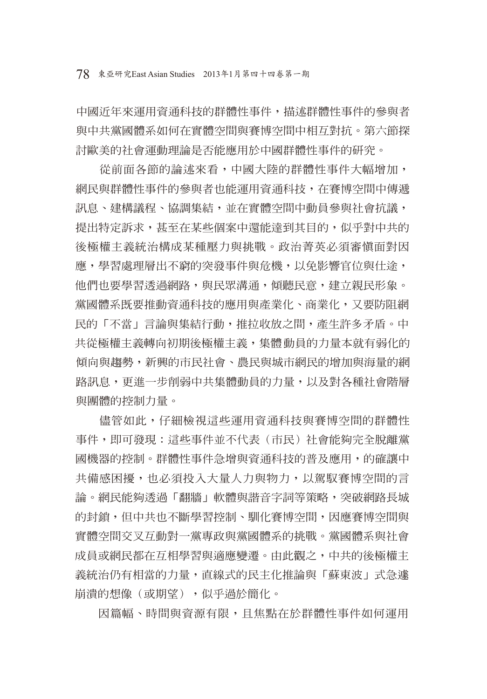中國近年來運用資通科技的群體性事件,描述群體性事件的參與者 與中共黨國體系如何在實體空間與賽博空間中相互對抗。第六節探 討歐美的社會運動理論是否能應用於中國群體性事件的研究。

從前面各節的論述來看,中國大陸的群體性事件大幅增加, 網民與群體性事件的參與者也能運用資通科技,在賽博空間中傳遞 訊息、建構議程、協調集結,並在實體空間中動員參與社會抗議, 提出特定訴求,甚至在某些個案中還能達到其目的,似乎對中共的 後極權主義統治構成某種壓力與挑戰。政治菁英必須審慎面對因 應,學習處理層出不窮的突發事件與危機,以免影響官位與仕途, 他們也要學習透過網路,與民眾溝通,傾聽民意,建立親民形象。 黨國體系既要推動資通科技的應用與產業化、商業化,又要防阻網 民的「不當」言論與集結行動,推拉收放之間,產生許多矛盾。中 共從極權主義轉向初期後極權主義,集體動員的力量本就有弱化的 傾向與趨勢,新興的市民社會、農民與城市網民的增加與海量的網 路訊息,更進一步削弱中共集體動員的力量,以及對各種社會階層 與團體的控制力量。

儘管如此,仔細檢視這些運用資通科技與賽博空間的群體性 事件,即可發現:這些事件並不代表(市民)社會能夠完全脫離黨 國機器的控制。群體性事件急增與資通科技的普及應用,的確讓中 共備感困擾,也必須投入大量人力與物力,以駕馭賽博空間的言 論。網民能夠透過「翻牆」軟體與諧音字詞等策略,突破網路長城 的封鎖,但中共也不斷學習控制、馴化賽博空間,因應賽博空間與 實體空間交叉互動對一黨專政與黨國體系的挑戰。黨國體系與社會 成員或網民都在互相學習與適應變遷。由此觀之,中共的後極權主 義統治仍有相當的力量,直線式的民主化推論與「蘇東波」式急遽 崩潰的想像(或期望),似乎過於簡化。

因篇幅、時間與資源有限,且焦點在於群體性事件如何運用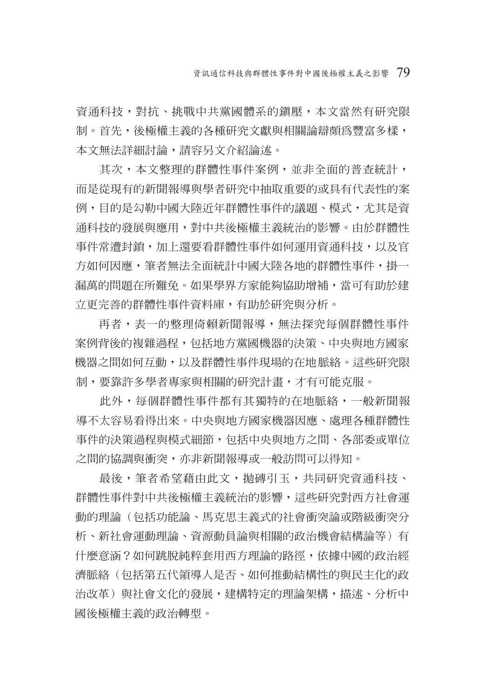資通科技,對抗、挑戰中共黨國體系的鎮壓,本文當然有研究限 制。首先,後極權主義的各種研究文獻與相關論辯頗為豐富多樣, 本文無法詳細討論,請容另文介紹論述。

其次,本文整理的群體性事件案例,並非全面的普杳統計, 而是從現有的新聞報導與學者研究中抽取重要的或具有代表性的案 例,目的是勾勒中國大陸近年群體性事件的議題、模式,尤其是資 通科技的發展與應用,對中共後極權主義統治的影響。由於群體性 事件常遭封鎖,加上還要看群體性事件如何運用資通科技,以及官 方如何因應,筆者無法全面統計中國大陸各地的群體性事件,掛一 漏萬的問題在所難免。如果學界方家能夠協助增補,當可有助於建 立更完善的群體性事件資料庫,有助於研究與分析。

再者,表一的整理倚賴新聞報導,無法探究每個群體性事件 案例背後的複雜過程,包括地方黨國機器的決策、中央與地方國家 機器之間如何互動,以及群體性事件現場的在地脈絡。這些研究限 制,要靠許多學者專家與相關的研究計畫,才有可能克服。

此外,每個群體性事件都有其獨特的在地脈絡,一般新聞報 導不太容易看得出來。中央與地方國家機器因應、處理各種群體性 事件的決策過程與模式細節,包括中央與地方之間、各部委或單位 之間的協調與衝突,亦非新聞報導或一般訪問可以得知。

最後,筆者希望藉由此文,拋磚引玉,共同研究資通科技、 群體性事件對中共後極權主義統治的影響,這些研究對西方社會運 動的理論(包括功能論、馬克思主義式的社會衝突論或階級衝突分 析、新社會運動理論、資源動員論與相關的政治機會結構論等)有 什麼意涵?如何跳脫純粹套用西方理論的路徑,依據中國的政治經 濟脈絡(包括第五代領導人是否、如何推動結構性的與民主化的政 治改革)與社會文化的發展,建構特定的理論架構,描述、分析中 國後極權主義的政治轉型。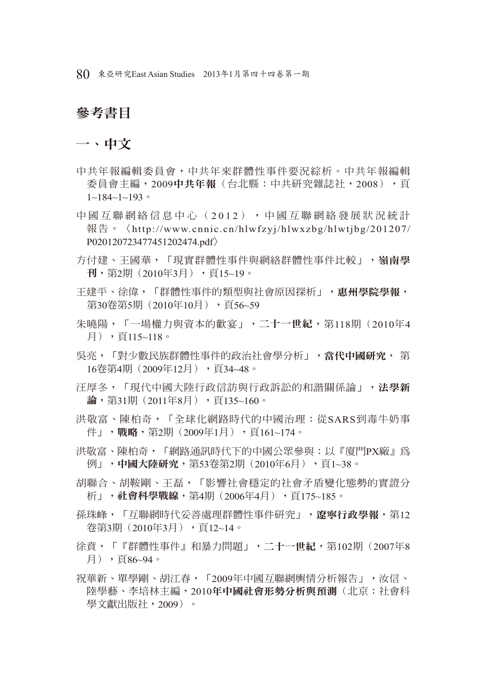80 東亞研究East Asian Studies 2013年1月第四十四卷第一期

## 參考書目

一、中文

- 中共年報編輯委員會,中共年來群體性事件要況綜析。中共年報編輯 委員會主編,2009中共年報(台北縣:中共研究雜誌社,2008),頁  $1~1~84~1~1~93$
- 中國互聯網絡信息中心(2012),中國互聯網絡發展狀況統計 報告。〈http://www.cnnic.cn/hlwfzyj/hlwxzbg/hlwtjbg/201207/ P020120723477451202474.pdf〉
- 方付建、王國華,「現實群體性事件與網絡群體性事件比較」,嶺南學 刊,第2期(2010年3月),頁15~19。
- 干建平、徐偉,「群體性事件的類型與社會原因探析」, 惠州學院學報, 第30卷第5期(2010年10月),可56~59
- 朱曉陽,「一場權力與資本的歡宴」,二十一世紀,第118期(2010年4 月),頁115~118。
- 吳亮,「對少數民族群體性事件的政治社會學分析」,當代中國研究, 第 16卷第4期(2009年12月),頁34~48。
- 汪厚冬,「現代中國大陸行政信訪與行政訴訟的和諧關係論」,法學新 論, 第31期(2011年8月), 百135~160。
- 洪敬富、陳柏奇,「全球化網路時代的中國治理:從SARS到毒牛奶事 件」,戰略,第2期(2009年1月),頁161~174。
- 洪敬富、陳柏奇,「網路通訊時代下的中國公眾參與:以『廈門PX廠』為 例」,中國大陸研究,第53卷第2期(2010年6月),頁1~38。
- 胡聯合、胡鞍剛、王磊,「影響社會穩定的社會矛盾變化態勢的實證分 折」,社會科學戰線,第4期(2006年4月),頁175~185。
- 孫珠峰,「互聯網時代妥善處理群體性事件研究」, 潦寧行政學報,第12 卷第3期(2010年3月),頁12~14。
- 徐賁,「『群體性事件』和暴力問題」,二十一世紀,第102期(2007年8 月),頁86~94。
- 祝華新、單學剛、胡江春,「2009年中國互聯網輿情分析報告」,汝信、 陸學藝、李培林主編,2010年中國社會形勢分析與預測(北京:社會科 學文獻出版社,2009)。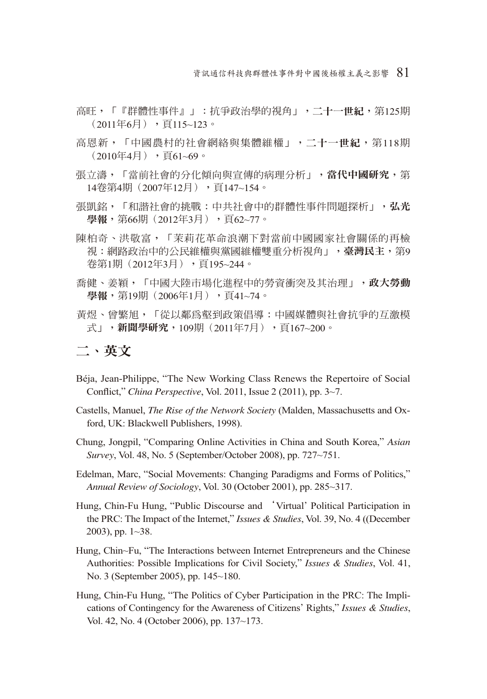資訊通信科技與群體性事件對中國後極權主義之影響 81

- 高旺,「『群體性事件』」:抗爭政治學的視角」,二十一世紀,第125期  $(2011 \n 46 \n 5)$ , 頁115~123。
- 高恩新,「中國農村的社會網絡與集體維權」,二十一世紀,第118期  $(2010 \pm 4)$ , 頁 $61~-69$ 。
- 張立濤,「當前社會的分化傾向與宣傳的病理分析」,當代中國研究,第 14卷第4期(2007年12月),頁147~154。
- 張凱銘,「和諧社會的挑戰:中共社會中的群體性事件問題探析」,弘光 學報,第66期 (2012年3月),頁62~77。
- 陳柏奇、洪敬富,「茉莉花革命浪潮下對當前中國國家社會關係的再檢 視:網路政治中的公民維權與黨國維權雙重分析視角」,臺灣民主,第9 卷第1期 (2012年3月), 頁195~244。
- 喬健、姜穎,「中國大陸市場化進程中的勞資衝突及其治理」,政大勞動 學報,第19期 (2006年1月),頁41~74。
- 黃煜、曾繁旭,「從以鄰為壑到政策倡導:中國媒體與社會抗爭的互激模 式」,新聞學研究,109期(2011年7月),頁167~200。

### 二、英文

- Béja, Jean-Philippe, "The New Working Class Renews the Repertoire of Social Conflict," *China Perspective*, Vol. 2011, Issue 2 (2011), pp. 3~7.
- Castells, Manuel, *The Rise of the Network Society* (Malden, Massachusetts and Oxford, UK: Blackwell Publishers, 1998).
- Chung, Jongpil, "Comparing Online Activities in China and South Korea," *Asian Survey*, Vol. 48, No. 5 (September/October 2008), pp. 727~751.

Edelman, Marc, "Social Movements: Changing Paradigms and Forms of Politics," *Annual Review of Sociology*, Vol. 30 (October 2001), pp. 285~317.

- Hung, Chin-Fu Hung, "Public Discourse and 'Virtual' Political Participation in the PRC: The Impact of the Internet," *Issues & Studies*, Vol. 39, No. 4 ((December 2003), pp. 1~38.
- Hung, Chin~Fu, "The Interactions between Internet Entrepreneurs and the Chinese Authorities: Possible Implications for Civil Society," *Issues & Studies*, Vol. 41, No. 3 (September 2005), pp. 145~180.
- Hung, Chin-Fu Hung, "The Politics of Cyber Participation in the PRC: The Implications of Contingency for the Awareness of Citizens' Rights," *Issues & Studies*, Vol. 42, No. 4 (October 2006), pp. 137~173.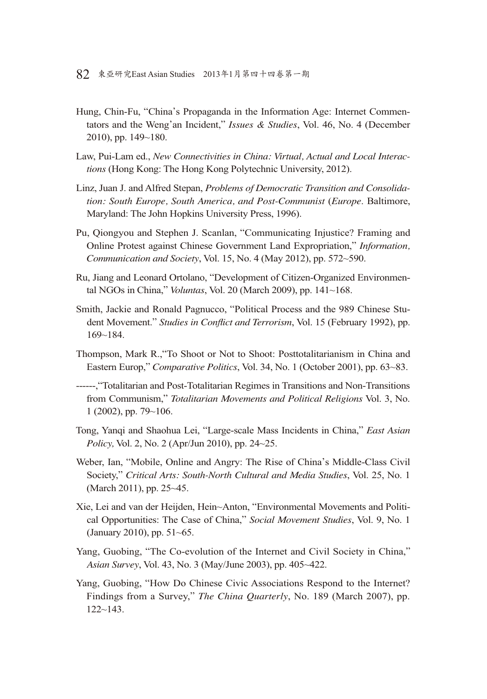- Hung, Chin-Fu, "China's Propaganda in the Information Age: Internet Commentators and the Weng'an Incident," *Issues & Studies*, Vol. 46, No. 4 (December 2010), pp. 149~180.
- Law, Pui-Lam ed., *New Connectivities in China: Virtual, Actual and Local Interactions* (Hong Kong: The Hong Kong Polytechnic University, 2012).
- Linz, Juan J. and Alfred Stepan, *Problems of Democratic Transition and Consolidation: South Europe, South America, and Post-Communist* (*Europe*. Baltimore, Maryland: The John Hopkins University Press, 1996).
- Pu, Qiongyou and Stephen J. Scanlan, "Communicating Injustice? Framing and Online Protest against Chinese Government Land Expropriation," *Information, Communication and Society*, Vol. 15, No. 4 (May 2012), pp. 572~590.
- Ru, Jiang and Leonard Ortolano, "Development of Citizen-Organized Environmental NGOs in China," *Voluntas*, Vol. 20 (March 2009), pp. 141~168.
- Smith, Jackie and Ronald Pagnucco, "Political Process and the 989 Chinese Student Movement." Studies in Conflict and Terrorism, Vol. 15 (February 1992), pp. 169~184.
- Thompson, Mark R.,"To Shoot or Not to Shoot: Posttotalitarianism in China and Eastern Europ," *Comparative Politics*, Vol. 34, No. 1 (October 2001), pp. 63~83.
- ------,"Totalitarian and Post-Totalitarian Regimes in Transitions and Non-Transitions from Communism," *Totalitarian Movements and Political Religions* Vol. 3, No. 1 (2002), pp. 79~106.
- Tong, Yanqi and Shaohua Lei, "Large-scale Mass Incidents in China," *East Asian Policy,* Vol. 2, No. 2 (Apr/Jun 2010), pp. 24~25.
- Weber, Ian, "Mobile, Online and Angry: The Rise of China's Middle-Class Civil Society," *Critical Arts: South-North Cultural and Media Studies*, Vol. 25, No. 1 (March 2011), pp. 25~45.
- Xie, Lei and van der Heijden, Hein~Anton, "Environmental Movements and Political Opportunities: The Case of China," *Social Movement Studies*, Vol. 9, No. 1 (January 2010), pp. 51~65.
- Yang, Guobing, "The Co-evolution of the Internet and Civil Society in China," *Asian Survey*, Vol. 43, No. 3 (May/June 2003), pp. 405~422.
- Yang, Guobing, "How Do Chinese Civic Associations Respond to the Internet? Findings from a Survey," *The China Quarterly*, No. 189 (March 2007), pp.  $122 - 143$ .